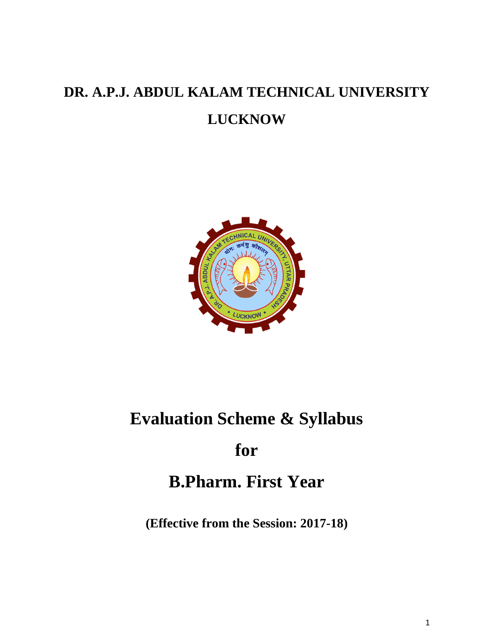# **DR. A.P.J. ABDUL KALAM TECHNICAL UNIVERSITY LUCKNOW**



# **Evaluation Scheme & Syllabus**

# **for**

# **B.Pharm. First Year**

**(Effective from the Session: 2017-18)**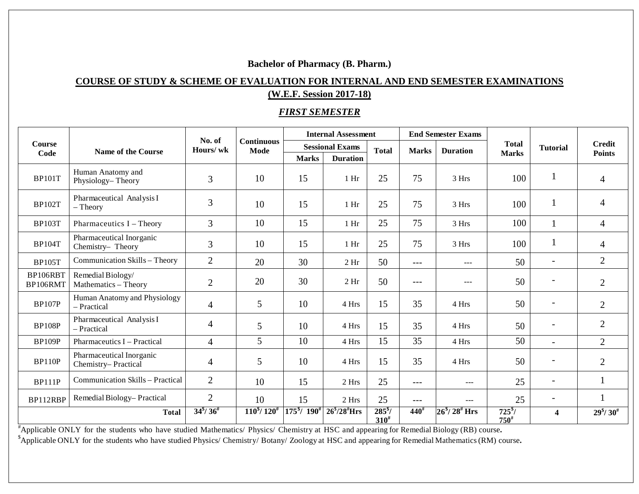# **Bachelor of Pharmacy (B. Pharm.)**

# **COURSE OF STUDY & SCHEME OF EVALUATION FOR INTERNAL AND END SEMESTER EXAMINATIONS (W.E.F. Session 2017-18)**

# *FIRST SEMESTER*

| <b>Course</b><br>Code |                                                 | No. of<br>Hours/wk                  | <b>Continuous</b><br><b>Mode</b>          | <b>Internal Assessment</b>            |                     |                                  | <b>End Semester Exams</b> |                     |                              |                          |                                     |
|-----------------------|-------------------------------------------------|-------------------------------------|-------------------------------------------|---------------------------------------|---------------------|----------------------------------|---------------------------|---------------------|------------------------------|--------------------------|-------------------------------------|
|                       | <b>Name of the Course</b>                       |                                     |                                           | <b>Sessional Exams</b>                |                     | <b>Total</b>                     | <b>Marks</b>              | <b>Duration</b>     | <b>Total</b><br><b>Marks</b> | <b>Tutorial</b>          | <b>Credit</b><br><b>Points</b>      |
|                       |                                                 |                                     |                                           | <b>Marks</b>                          | <b>Duration</b>     |                                  |                           |                     |                              |                          |                                     |
| <b>BP101T</b>         | Human Anatomy and<br>Physiology-Theory          | 3                                   | 10                                        | 15                                    | $1$ Hr              | 25                               | 75                        | 3 Hrs               | 100                          |                          | $\overline{4}$                      |
| <b>BP102T</b>         | Pharmaceutical Analysis I<br>$-$ Theory         | 3                                   | 10                                        | 15                                    | $1$ Hr              | 25                               | 75                        | 3 Hrs               | 100                          | $\mathbf{1}$             | 4                                   |
| <b>BP103T</b>         | Pharmaceutics I - Theory                        | 3                                   | 10                                        | 15                                    | $1$ Hr              | 25                               | 75                        | 3 Hrs               | 100                          |                          | $\overline{4}$                      |
| <b>BP104T</b>         | Pharmaceutical Inorganic<br>Chemistry-Theory    | 3                                   | 10                                        | 15                                    | 1 <sub>hr</sub>     | 25                               | 75                        | 3 Hrs               | 100                          | $\mathbf{1}$             | $\overline{4}$                      |
| <b>BP105T</b>         | Communication Skills - Theory                   | $\overline{2}$                      | 20                                        | 30                                    | 2 <sub>hr</sub>     | 50                               | $---$                     | $---$               | 50                           | $\overline{\phantom{a}}$ | $\overline{2}$                      |
| BP106RBT<br>BP106RMT  | Remedial Biology/<br>Mathematics - Theory       | $\overline{2}$                      | 20                                        | 30                                    | 2 <sub>hr</sub>     | 50                               | ---                       | ---                 | 50                           | -                        | $\overline{2}$                      |
| <b>BP107P</b>         | Human Anatomy and Physiology<br>- Practical     | 4                                   | 5                                         | 10                                    | 4 Hrs               | 15                               | 35                        | 4 Hrs               | 50                           |                          | $\overline{2}$                      |
| <b>BP108P</b>         | Pharmaceutical Analysis I<br>- Practical        | $\overline{4}$                      | 5                                         | 10                                    | 4 Hrs               | 15                               | 35                        | 4 Hrs               | 50                           | $\overline{\phantom{a}}$ | $\overline{2}$                      |
| <b>BP109P</b>         | Pharmaceutics I - Practical                     | $\overline{4}$                      | 5                                         | 10                                    | 4 Hrs               | 15                               | 35                        | 4 Hrs               | 50                           | $\overline{\phantom{0}}$ | $\overline{2}$                      |
| <b>BP110P</b>         | Pharmaceutical Inorganic<br>Chemistry-Practical | $\overline{4}$                      | 5                                         | 10                                    | 4 Hrs               | 15                               | 35                        | 4 Hrs               | 50                           | $\overline{a}$           | $\overline{2}$                      |
| <b>BP111P</b>         | Communication Skills - Practical                | $\overline{2}$                      | 10                                        | 15                                    | 2 Hrs               | 25                               | $---$                     | $---$               | 25                           | $\overline{\phantom{a}}$ | 1                                   |
| BP112RBP              | Remedial Biology-Practical                      | $\overline{2}$                      | 10                                        | 15                                    | 2 Hrs               | 25                               | ---                       | ---                 | 25                           | $\overline{\phantom{0}}$ |                                     |
| <b>Total</b>          |                                                 | $34^{\frac{8}{7}}/36^{\frac{4}{7}}$ | $110^{\frac{5}{7}}$ / $120^{\frac{4}{7}}$ | $175^{\frac{8}{7}}/190^{\frac{4}{7}}$ | $26^{5}/28^{4}$ Hrs | $285^{\frac{5}{2}}$<br>$310^{#}$ | $440^{\text{*}}$          | $26^{5}/28^{4}$ Hrs | $725^{s}$ /<br>$750^{#}$     | $\overline{\mathbf{4}}$  | $29^{\frac{6}{7}}/30^{\frac{4}{7}}$ |

# Applicable ONLY for the students who have studied Mathematics/ Physics/ Chemistry at HSC and appearing for Remedial Biology (RB) course**.**

\$ Applicable ONLY for the students who have studied Physics/ Chemistry/ Botany/ Zoology at HSC and appearing for Remedial Mathematics(RM) course**.**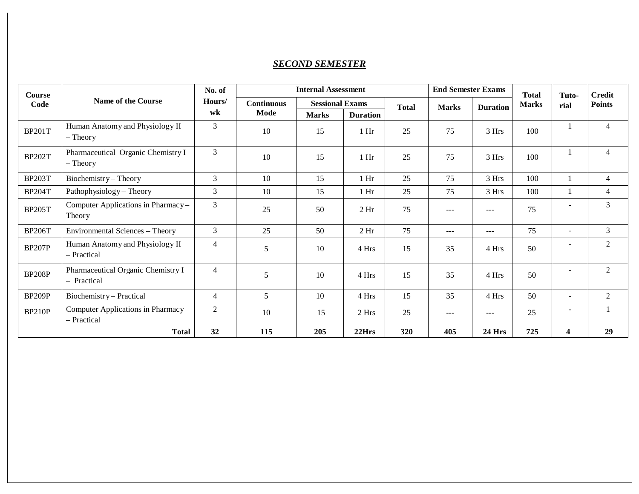## *SECOND SEMESTER*

| <b>Course</b><br>Code | <b>Name of the Course</b>                         | No. of<br>Hours/<br>wk |                   | <b>End Semester Exams</b> |                 | <b>Total</b> | Tuto-        | <b>Credit</b>   |              |                          |                |
|-----------------------|---------------------------------------------------|------------------------|-------------------|---------------------------|-----------------|--------------|--------------|-----------------|--------------|--------------------------|----------------|
|                       |                                                   |                        | <b>Continuous</b> | <b>Sessional Exams</b>    |                 | <b>Total</b> | <b>Marks</b> | <b>Duration</b> | <b>Marks</b> | rial                     | <b>Points</b>  |
|                       |                                                   |                        | Mode              | <b>Marks</b>              | <b>Duration</b> |              |              |                 |              |                          |                |
| <b>BP201T</b>         | Human Anatomy and Physiology II<br>$-$ Theory     | $\overline{3}$         | 10                | 15                        | 1 <sub>hr</sub> | 25           | 75           | 3 Hrs           | 100          |                          | $\overline{4}$ |
| <b>BP202T</b>         | Pharmaceutical Organic Chemistry I<br>$-$ Theory  | $\mathfrak{Z}$         | 10                | 15                        | 1 <sub>hr</sub> | 25           | 75           | 3 Hrs           | 100          |                          | $\overline{4}$ |
| <b>BP203T</b>         | Biochemistry - Theory                             | 3                      | 10                | 15                        | 1 <sub>hr</sub> | 25           | 75           | 3 Hrs           | 100          |                          | $\overline{4}$ |
| <b>BP204T</b>         | Pathophysiology - Theory                          | 3                      | 10                | 15                        | $1$ Hr          | 25           | 75           | 3 Hrs           | 100          |                          | $\overline{4}$ |
| <b>BP205T</b>         | Computer Applications in Pharmacy-<br>Theory      | $\overline{3}$         | 25                | 50                        | 2 <sub>hr</sub> | 75           | $- - -$      | $---$           | 75           | $\overline{\phantom{0}}$ | $\mathfrak{Z}$ |
| <b>BP206T</b>         | Environmental Sciences - Theory                   | 3                      | 25                | 50                        | 2 <sub>hr</sub> | 75           | $---$        | $---$           | 75           | $\sim$                   | 3              |
| <b>BP207P</b>         | Human Anatomy and Physiology II<br>- Practical    | 4                      | 5                 | 10                        | 4 Hrs           | 15           | 35           | 4 Hrs           | 50           | $\overline{\phantom{a}}$ | 2              |
| <b>BP208P</b>         | Pharmaceutical Organic Chemistry I<br>- Practical | $\overline{4}$         | 5                 | 10                        | 4 Hrs           | 15           | 35           | 4 Hrs           | 50           | $\sim$                   | 2              |
| BP209P                | Biochemistry – Practical                          | $\overline{4}$         | 5                 | 10                        | 4 Hrs           | 15           | 35           | 4 Hrs           | 50           | $\overline{\phantom{a}}$ | 2              |
| <b>BP210P</b>         | Computer Applications in Pharmacy<br>- Practical  | $\overline{2}$         | 10                | 15                        | 2 Hrs           | 25           | $---$        | $---$           | 25           | $\overline{\phantom{a}}$ |                |
|                       | <b>Total</b>                                      | 32                     | 115               | 205                       | 22Hrs           | 320          | 405          | <b>24 Hrs</b>   | 725          | 4                        | 29             |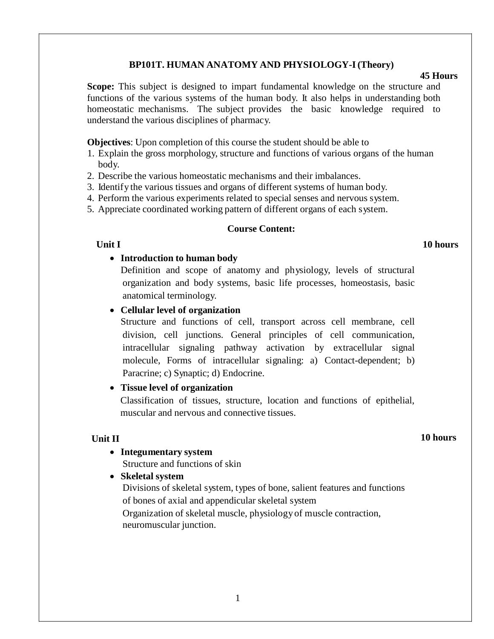### **BP101T. HUMAN ANATOMY AND PHYSIOLOGY-I(Theory)**

#### **45 Hours**

**Scope:** This subject is designed to impart fundamental knowledge on the structure and functions of the various systems of the human body. It also helps in understanding both homeostatic mechanisms. The subject provides the basic knowledge required to understand the various disciplines of pharmacy.

**Objectives**: Upon completion of this course the student should be able to

- 1. Explain the gross morphology, structure and functions of various organs of the human body.
- 2. Describe the various homeostatic mechanisms and their imbalances.
- 3. Identify the various tissues and organs of different systems of human body.
- 4. Perform the various experiments related to special senses and nervous system.
- 5. Appreciate coordinated working pattern of different organs of each system.

#### **Course Content:**

# **Unit I** 10 hours

• **Introduction to human body**

Definition and scope of anatomy and physiology, levels of structural organization and body systems, basic life processes, homeostasis, basic anatomical terminology.

### • **Cellular level of organization**

Structure and functions of cell, transport across cell membrane, cell division, cell junctions. General principles of cell communication, intracellular signaling pathway activation by extracellular signal molecule, Forms of intracellular signaling: a) Contact-dependent; b) Paracrine; c) Synaptic; d) Endocrine.

### • **Tissue level of organization**

Classification of tissues, structure, location and functions of epithelial, muscular and nervous and connective tissues.

### **Unit II**

#### **10 hours**

### • **Integumentary system**

Structure and functions of skin

#### • **Skeletal system**

Divisions of skeletal system, types of bone, salient features and functions of bones of axial and appendicular skeletal system

Organization of skeletal muscle, physiology of muscle contraction, neuromuscular junction.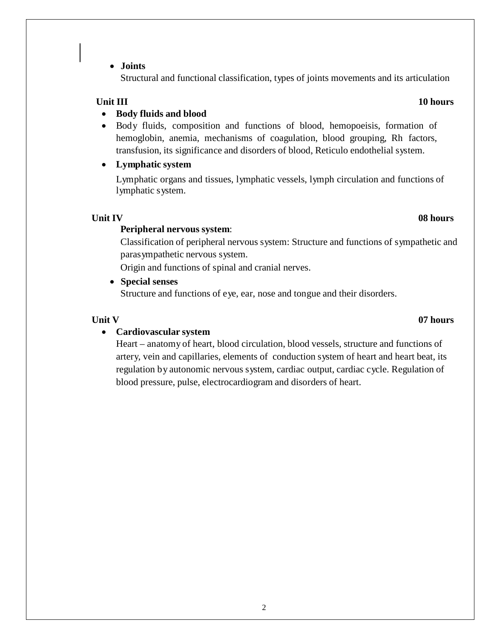### • **Joints**

Structural and functional classification, types of joints movements and its articulation

#### **Unit III** 10 hours

### • **Body fluids and blood**

• Body fluids, composition and functions of blood, hemopoeisis, formation of hemoglobin, anemia, mechanisms of coagulation, blood grouping, Rh factors, transfusion, its significance and disorders of blood, Reticulo endothelial system.

### • **Lymphatic system**

Lymphatic organs and tissues, lymphatic vessels, lymph circulation and functions of lymphatic system.

## **Unit IV 08 hours**

### **Peripheral nervous system**:

Classification of peripheral nervous system: Structure and functions of sympathetic and parasympathetic nervous system.

Origin and functions of spinal and cranial nerves.

#### • **Special senses**

Structure and functions of eye, ear, nose and tongue and their disorders.

### • **Cardiovascular system**

Heart – anatomy of heart, blood circulation, blood vessels, structure and functions of artery, vein and capillaries, elements of conduction system of heart and heart beat, its regulation by autonomic nervous system, cardiac output, cardiac cycle. Regulation of blood pressure, pulse, electrocardiogram and disorders of heart.

# **Unit V 07 hours**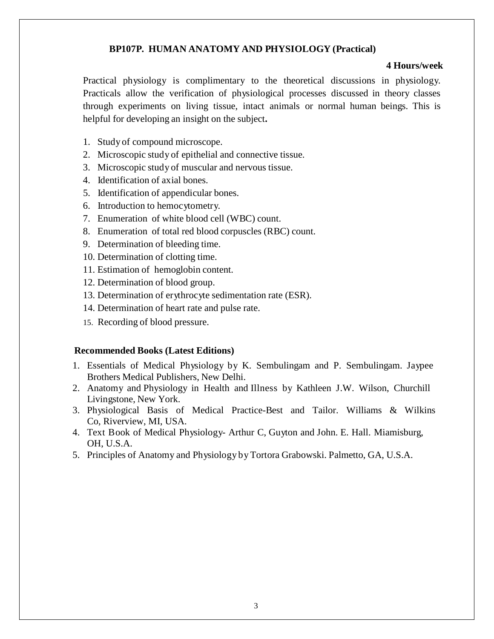### **BP107P. HUMAN ANATOMY AND PHYSIOLOGY (Practical)**

#### **4 Hours/week**

Practical physiology is complimentary to the theoretical discussions in physiology. Practicals allow the verification of physiological processes discussed in theory classes through experiments on living tissue, intact animals or normal human beings. This is helpful for developing an insight on the subject**.**

- 1. Study of compound microscope.
- 2. Microscopic study of epithelial and connective tissue.
- 3. Microscopic study of muscular and nervous tissue.
- 4. Identification of axial bones.
- 5. Identification of appendicular bones.
- 6. Introduction to hemocytometry.
- 7. Enumeration of white blood cell (WBC) count.
- 8. Enumeration of total red blood corpuscles (RBC) count.
- 9. Determination of bleeding time.
- 10. Determination of clotting time.
- 11. Estimation of hemoglobin content.
- 12. Determination of blood group.
- 13. Determination of erythrocyte sedimentation rate (ESR).
- 14. Determination of heart rate and pulse rate.
- 15. Recording of blood pressure.

### **Recommended Books (Latest Editions)**

- 1. Essentials of Medical Physiology by K. Sembulingam and P. Sembulingam. Jaypee Brothers Medical Publishers, New Delhi.
- 2. Anatomy and Physiology in Health and Illness by Kathleen J.W. Wilson, Churchill Livingstone, New York.
- 3. Physiological Basis of Medical Practice-Best and Tailor. Williams & Wilkins Co, Riverview, MI, USA.
- 4. Text Book of Medical Physiology- Arthur C, Guyton and John. E. Hall. Miamisburg, OH, U.S.A.
- 5. Principles of Anatomy and Physiology by Tortora Grabowski. Palmetto, GA, U.S.A.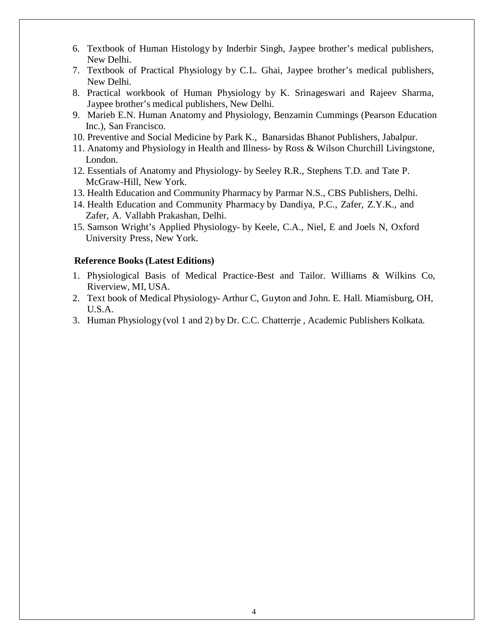- 6. Textbook of Human Histology by Inderbir Singh, Jaypee brother's medical publishers, New Delhi.
- 7. Textbook of Practical Physiology by C.L. Ghai, Jaypee brother's medical publishers, New Delhi.
- 8. Practical workbook of Human Physiology by K. Srinageswari and Rajeev Sharma, Jaypee brother's medical publishers, New Delhi.
- 9. Marieb E.N. Human Anatomy and Physiology, Benzamin Cummings (Pearson Education Inc.), San Francisco.
- 10. Preventive and Social Medicine by Park K., Banarsidas Bhanot Publishers, Jabalpur.
- 11. Anatomy and Physiology in Health and Illness- by Ross & Wilson Churchill Livingstone, London.
- 12. Essentials of Anatomy and Physiology- by Seeley R.R., Stephens T.D. and Tate P. McGraw-Hill, New York.
- 13. Health Education and Community Pharmacy by Parmar N.S., CBS Publishers, Delhi.
- 14. Health Education and Community Pharmacy by Dandiya, P.C., Zafer, Z.Y.K., and Zafer, A. Vallabh Prakashan, Delhi.
- 15. Samson Wright's Applied Physiology- by Keele, C.A., Niel, E and Joels N, Oxford University Press, New York.

#### **Reference Books (Latest Editions)**

- 1. Physiological Basis of Medical Practice-Best and Tailor. Williams & Wilkins Co, Riverview, MI, USA.
- 2. Text book of Medical Physiology- Arthur C, Guyton and John. E. Hall. Miamisburg, OH, U.S.A.
- 3. Human Physiology (vol 1 and 2) by Dr. C.C. Chatterrje , Academic Publishers Kolkata.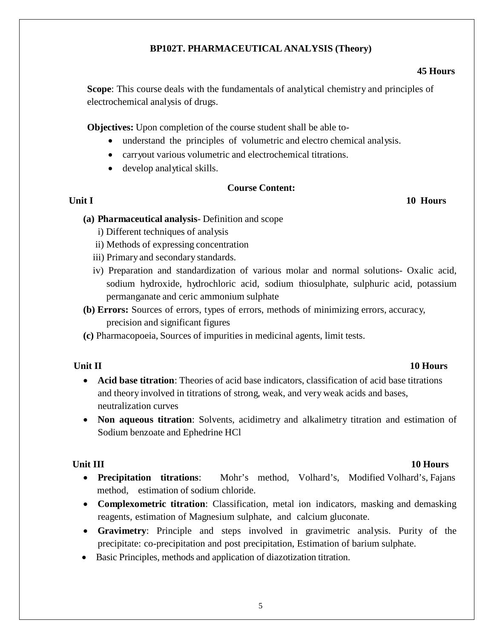# **BP102T. PHARMACEUTICAL ANALYSIS (Theory)**

# **45 Hours**

**Scope**: This course deals with the fundamentals of analytical chemistry and principles of electrochemical analysis of drugs.

**Objectives:** Upon completion of the course student shall be able to-

- understand the principles of volumetric and electro chemical analysis.
- carryout various volumetric and electrochemical titrations.
- develop analytical skills.

### **Course Content:**

### **Unit I** 10 **Hours**

### **(a) Pharmaceutical analysis**- Definition and scope

- i) Different techniques of analysis
- ii) Methods of expressing concentration
- iii) Primary and secondary standards.
- iv) Preparation and standardization of various molar and normal solutions- Oxalic acid, sodium hydroxide, hydrochloric acid, sodium thiosulphate, sulphuric acid, potassium permanganate and ceric ammonium sulphate
- **(b) Errors:** Sources of errors, types of errors, methods of minimizing errors, accuracy, precision and significant figures
- **(c)** Pharmacopoeia, Sources of impurities in medicinal agents, limit tests.

### **Unit II** 10 **Hours**

- **Acid base titration**: Theories of acid base indicators, classification of acid base titrations and theory involved in titrations of strong, weak, and very weak acids and bases, neutralization curves
- **Non aqueous titration**: Solvents, acidimetry and alkalimetry titration and estimation of Sodium benzoate and Ephedrine HCl

- **Unit III** 10 **Hours** 
	- **Precipitation titrations**: Mohr's method, Volhard's, Modified Volhard's, Fajans method, estimation of sodium chloride.
	- **Complexometric titration**: Classification, metal ion indicators, masking and demasking reagents, estimation of Magnesium sulphate, and calcium gluconate.
	- **Gravimetry**: Principle and steps involved in gravimetric analysis. Purity of the precipitate: co-precipitation and post precipitation, Estimation of barium sulphate.
	- Basic Principles, methods and application of diazotization titration.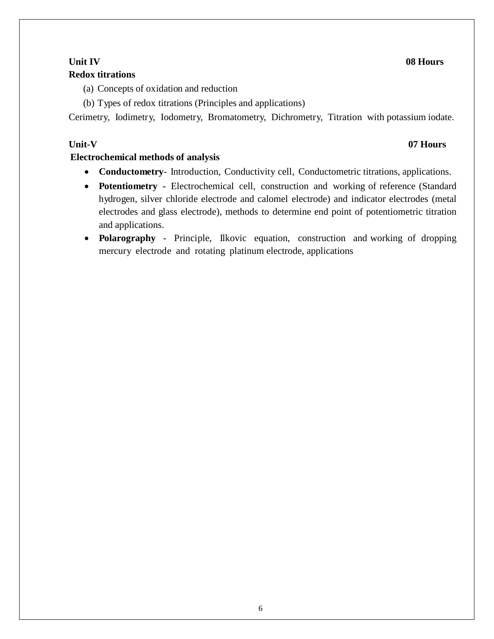# **Unit IV 08 Hours**

# **Redox titrations**

- (a) Concepts of oxidation and reduction
- (b) Types of redox titrations (Principles and applications)

Cerimetry, Iodimetry, Iodometry, Bromatometry, Dichrometry, Titration with potassium iodate.

# **Unit-V 07 Hours**

# **Electrochemical methods of analysis**

- **Conductometry** Introduction, Conductivity cell, Conductometric titrations, applications.
- **Potentiometry -** Electrochemical cell, construction and working of reference (Standard hydrogen, silver chloride electrode and calomel electrode) and indicator electrodes (metal electrodes and glass electrode), methods to determine end point of potentiometric titration and applications.
- **Polarography**  Principle, Ilkovic equation, construction and working of dropping mercury electrode and rotating platinum electrode, applications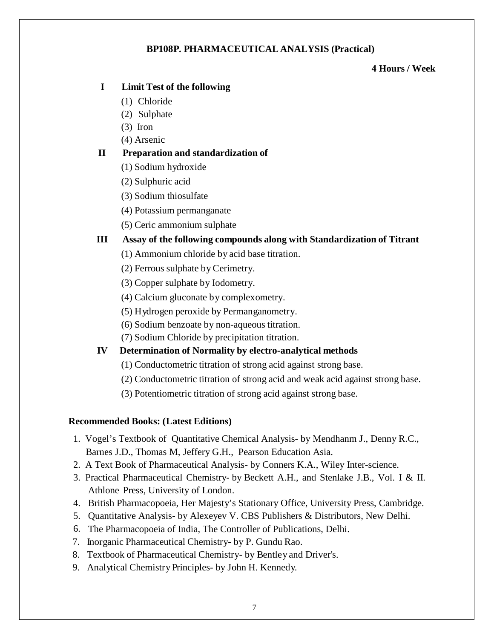# **BP108P. PHARMACEUTICAL ANALYSIS (Practical)**

### **4 Hours / Week**

# **I Limit Test of the following**

- (1) Chloride
- (2) Sulphate
- (3) Iron
- (4) Arsenic

# **II Preparation and standardization of**

- (1) Sodium hydroxide
- (2) Sulphuric acid
- (3) Sodium thiosulfate
- (4) Potassium permanganate
- (5) Ceric ammonium sulphate

# **III Assay of the following compounds along with Standardization of Titrant**

- (1) Ammonium chloride by acid base titration.
- (2) Ferrous sulphate by Cerimetry.
- (3) Copper sulphate by Iodometry.
- (4) Calcium gluconate by complexometry.
- (5) Hydrogen peroxide by Permanganometry.
- (6) Sodium benzoate by non-aqueous titration.
- (7) Sodium Chloride by precipitation titration.
- **IV Determination of Normality by electro-analytical methods**
	- (1) Conductometric titration of strong acid against strong base.
	- (2) Conductometric titration of strong acid and weak acid against strong base.
	- (3) Potentiometric titration of strong acid against strong base.

# **Recommended Books: (Latest Editions)**

- 1. Vogel's Textbook of Quantitative Chemical Analysis- by Mendhanm J., Denny R.C., Barnes J.D., Thomas M, Jeffery G.H., Pearson Education Asia.
- 2. A Text Book of Pharmaceutical Analysis- by Conners K.A., Wiley Inter-science.
- 3. Practical Pharmaceutical Chemistry- by Beckett A.H., and Stenlake J.B., Vol. I & II. Athlone Press, University of London.
- 4. British Pharmacopoeia, Her Majesty's Stationary Office, University Press, Cambridge.
- 5. Quantitative Analysis- by Alexeyev V. CBS Publishers & Distributors, New Delhi.
- 6. The Pharmacopoeia of India, The Controller of Publications, Delhi.
- 7. Inorganic Pharmaceutical Chemistry- by P. Gundu Rao.
- 8. Textbook of Pharmaceutical Chemistry- by Bentley and Driver's.
- 9. Analytical Chemistry Principles- by John H. Kennedy.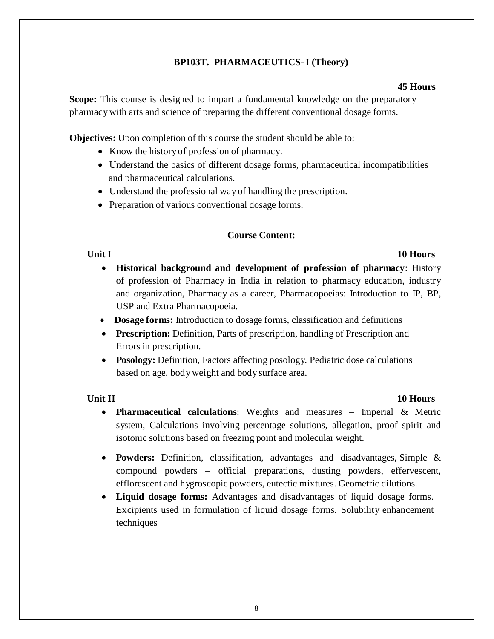# **BP103T. PHARMACEUTICS-I (Theory)**

#### **45 Hours**

**Scope:** This course is designed to impart a fundamental knowledge on the preparatory pharmacy with arts and science of preparing the different conventional dosage forms.

**Objectives:** Upon completion of this course the student should be able to:

- Know the history of profession of pharmacy.
- Understand the basics of different dosage forms, pharmaceutical incompatibilities and pharmaceutical calculations.
- Understand the professional way of handling the prescription.
- Preparation of various conventional dosage forms.

# **Course Content:**

- **Unit I** 10 **Hours** • **Historical background and development of profession of pharmacy**: History of profession of Pharmacy in India in relation to pharmacy education, industry and organization, Pharmacy as a career, Pharmacopoeias: Introduction to IP, BP, USP and Extra Pharmacopoeia.
	- **Dosage forms:** Introduction to dosage forms, classification and definitions
	- **Prescription:** Definition, Parts of prescription, handling of Prescription and Errors in prescription.
	- **Posology:** Definition, Factors affecting posology. Pediatric dose calculations based on age, body weight and body surface area.

### **Unit II** 10 **Hours**

- **Pharmaceutical calculations**: Weights and measures Imperial & Metric system, Calculations involving percentage solutions, allegation, proof spirit and isotonic solutions based on freezing point and molecular weight.
- **Powders:** Definition, classification, advantages and disadvantages, Simple & compound powders – official preparations, dusting powders, effervescent, efflorescent and hygroscopic powders, eutectic mixtures. Geometric dilutions.
- **Liquid dosage forms:** Advantages and disadvantages of liquid dosage forms. Excipients used in formulation of liquid dosage forms. Solubility enhancement techniques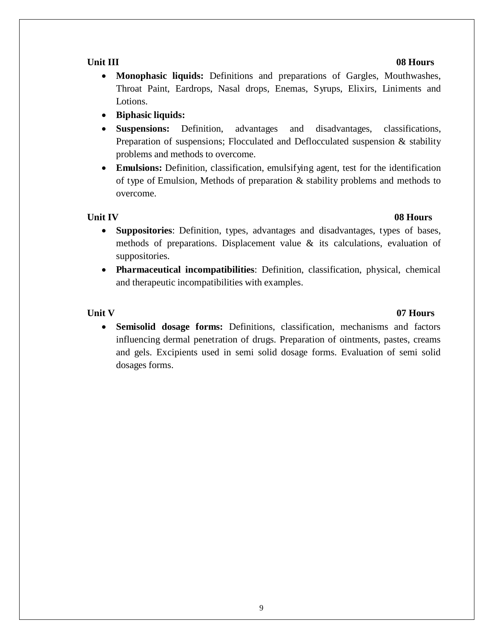- **Monophasic liquids:** Definitions and preparations of Gargles, Mouthwashes, Throat Paint, Eardrops, Nasal drops, Enemas, Syrups, Elixirs, Liniments and Lotions.
- **Biphasic liquids:**
- **Suspensions:** Definition, advantages and disadvantages, classifications, Preparation of suspensions; Flocculated and Deflocculated suspension  $\&$  stability problems and methods to overcome.
- **Emulsions:** Definition, classification, emulsifying agent, test for the identification of type of Emulsion, Methods of preparation & stability problems and methods to overcome.

- **Suppositories**: Definition, types, advantages and disadvantages, types of bases, methods of preparations. Displacement value & its calculations, evaluation of suppositories.
- **Pharmaceutical incompatibilities**: Definition, classification, physical, chemical and therapeutic incompatibilities with examples.

### **Unit V 07 Hours**

• **Semisolid dosage forms:** Definitions, classification, mechanisms and factors influencing dermal penetration of drugs. Preparation of ointments, pastes, creams and gels. Excipients used in semi solid dosage forms. Evaluation of semi solid dosages forms.

# **Unit IV 08 Hours**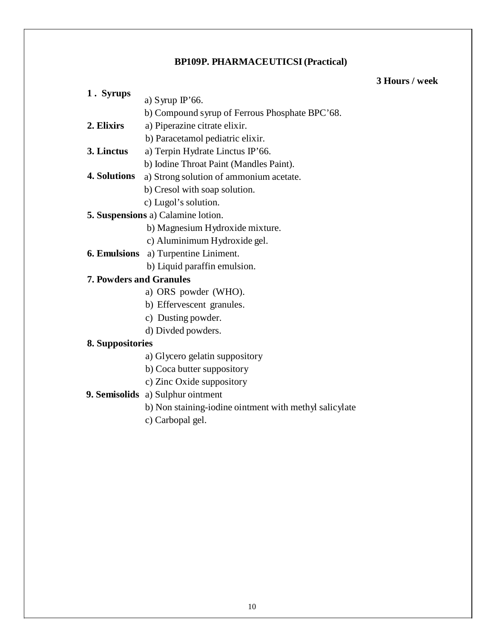### **BP109P. PHARMACEUTICSI(Practical)**

### **3 Hours / week**

- **1 . Syrups** a) Syrup IP'66.
	- b) Compound syrup of Ferrous Phosphate BPC'68.
- **2. Elixirs** a) Piperazine citrate elixir.
	- b) Paracetamol pediatric elixir.
- **3. Linctus** a) Terpin Hydrate Linctus IP'66.
	- b) Iodine Throat Paint (Mandles Paint).
- **4. Solutions** a) Strong solution of ammonium acetate.
	- b) Cresol with soap solution.
	- c) Lugol's solution.
- **5. Suspensions** a) Calamine lotion.
	- b) Magnesium Hydroxide mixture.
	- c) Aluminimum Hydroxide gel.
- **6. Emulsions** a) Turpentine Liniment.
	- b) Liquid paraffin emulsion.

# **7. Powders and Granules**

- a) ORS powder (WHO).
- b) Effervescent granules.
- c) Dusting powder.
- d) Divded powders.

# **8. Suppositories**

- a) Glycero gelatin suppository
- b) Coca butter suppository
- c) Zinc Oxide suppository

# **9. Semisolids** a) Sulphur ointment

- b) Non staining-iodine ointment with methyl salicylate
- c) Carbopal gel.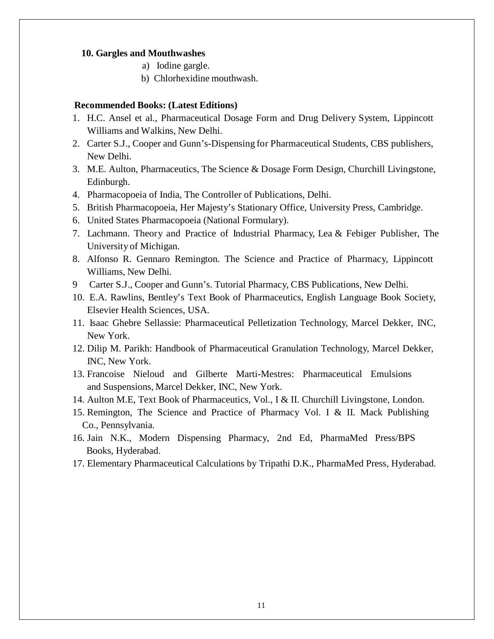#### **10. Gargles and Mouthwashes**

- a) Iodine gargle.
- b) Chlorhexidine mouthwash.

#### **Recommended Books: (Latest Editions)**

- 1. H.C. Ansel et al., Pharmaceutical Dosage Form and Drug Delivery System, Lippincott Williams and Walkins, New Delhi.
- 2. Carter S.J., Cooper and Gunn's-Dispensing for Pharmaceutical Students, CBS publishers, New Delhi.
- 3. M.E. Aulton, Pharmaceutics, The Science & Dosage Form Design, Churchill Livingstone, Edinburgh.
- 4. Pharmacopoeia of India, The Controller of Publications, Delhi.
- 5. British Pharmacopoeia, Her Majesty's Stationary Office, University Press, Cambridge.
- 6. United States Pharmacopoeia (National Formulary).
- 7. Lachmann. Theory and Practice of Industrial Pharmacy, Lea & Febiger Publisher, The University of Michigan.
- 8. Alfonso R. Gennaro Remington. The Science and Practice of Pharmacy, Lippincott Williams, New Delhi.
- 9 Carter S.J., Cooper and Gunn's. Tutorial Pharmacy, CBS Publications, New Delhi.
- 10. E.A. Rawlins, Bentley's Text Book of Pharmaceutics, English Language Book Society, Elsevier Health Sciences, USA.
- 11. Isaac Ghebre Sellassie: Pharmaceutical Pelletization Technology, Marcel Dekker, INC, New York.
- 12. Dilip M. Parikh: Handbook of Pharmaceutical Granulation Technology, Marcel Dekker, INC, New York.
- 13. Francoise Nieloud and Gilberte Marti-Mestres: Pharmaceutical Emulsions and Suspensions, Marcel Dekker, INC, New York.
- 14. Aulton M.E, Text Book of Pharmaceutics, Vol., I & II. Churchill Livingstone, London.
- 15. Remington, The Science and Practice of Pharmacy Vol. I & II. Mack Publishing Co., Pennsylvania.
- 16. Jain N.K., Modern Dispensing Pharmacy, 2nd Ed, PharmaMed Press/BPS Books, Hyderabad.
- 17. Elementary Pharmaceutical Calculations by Tripathi D.K., PharmaMed Press, Hyderabad.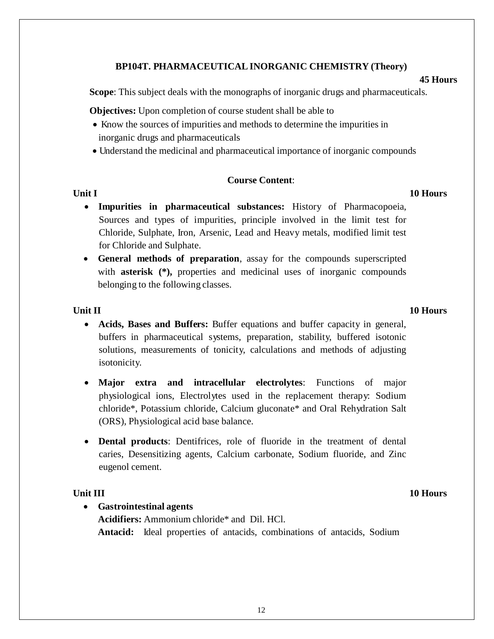### **BP104T. PHARMACEUTICALINORGANIC CHEMISTRY (Theory)**

#### **45 Hours**

**Scope**: This subject deals with the monographs of inorganic drugs and pharmaceuticals.

**Objectives:** Upon completion of course student shall be able to

- Know the sources of impurities and methods to determine the impurities in inorganic drugs and pharmaceuticals
- Understand the medicinal and pharmaceutical importance of inorganic compounds

### **Course Content**:

#### **Unit I** 10 **Hours**

- **Impurities in pharmaceutical substances:** History of Pharmacopoeia, Sources and types of impurities, principle involved in the limit test for Chloride, Sulphate, Iron, Arsenic, Lead and Heavy metals, modified limit test for Chloride and Sulphate.
- **General methods of preparation**, assay for the compounds superscripted with **asterisk (\*),** properties and medicinal uses of inorganic compounds belonging to the following classes.

### **Unit II** 10 **Hours**

- **Acids, Bases and Buffers:** Buffer equations and buffer capacity in general, buffers in pharmaceutical systems, preparation, stability, buffered isotonic solutions, measurements of tonicity, calculations and methods of adjusting isotonicity.
- **Major extra and intracellular electrolytes**: Functions of major physiological ions, Electrolytes used in the replacement therapy: Sodium chloride\*, Potassium chloride, Calcium gluconate\* and Oral Rehydration Salt (ORS), Physiological acid base balance.
- **Dental products:** Dentifrices, role of fluoride in the treatment of dental caries, Desensitizing agents, Calcium carbonate, Sodium fluoride, and Zinc eugenol cement.

# **Unit III** 10 **Hours**

• **Gastrointestinal agents Acidifiers:** Ammonium chloride\* and Dil. HCl. **Antacid:** Ideal properties of antacids, combinations of antacids, Sodium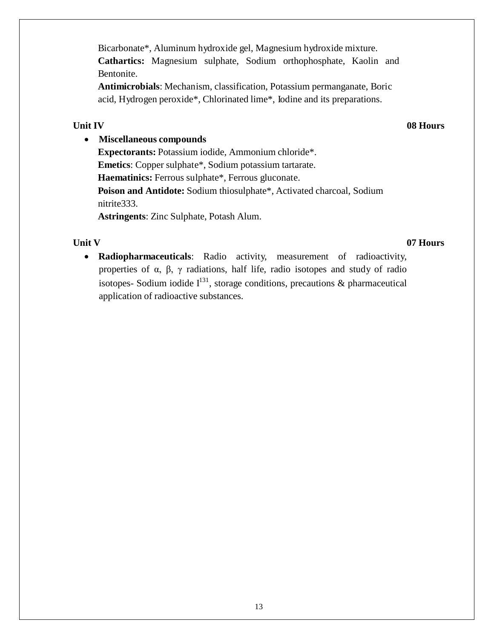**Antimicrobials**: Mechanism, classification, Potassium permanganate, Boric acid, Hydrogen peroxide\*, Chlorinated lime\*, Iodine and its preparations.

# **Unit IV 08 Hours**

# • **Miscellaneous compounds**

**Expectorants:** Potassium iodide, Ammonium chloride\*. **Emetics**: Copper sulphate\*, Sodium potassium tartarate. **Haematinics:** Ferrous sulphate\*, Ferrous gluconate. **Poison and Antidote:** Sodium thiosulphate\*, Activated charcoal, Sodium nitrite333.

**Astringents**: Zinc Sulphate, Potash Alum.

# **Unit V 07 Hours**

• **Radiopharmaceuticals**: Radio activity, measurement of radioactivity, properties of  $\alpha$ ,  $\beta$ ,  $\gamma$  radiations, half life, radio isotopes and study of radio isotopes- Sodium iodide  $I^{131}$ , storage conditions, precautions & pharmaceutical application of radioactive substances.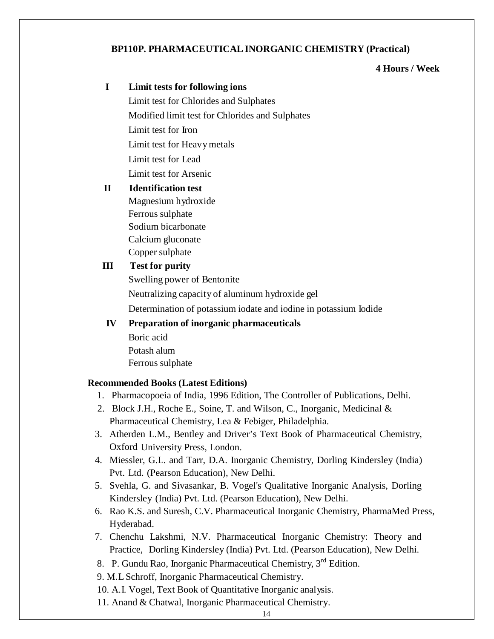# **BP110P. PHARMACEUTICALINORGANIC CHEMISTRY (Practical)**

### **4 Hours / Week**

# **I Limit tests for following ions** Limit test for Chlorides and Sulphates Modified limit test for Chlorides and Sulphates Limit test for Iron Limit test for Heavymetals Limit test for Lead Limit test for Arsenic **II Identification test**  Magnesium hydroxide Ferrous sulphate Sodium bicarbonate Calcium gluconate Copper sulphate **III Test for purity** Swelling power of Bentonite Neutralizing capacity of aluminum hydroxide gel Determination of potassium iodate and iodine in potassium Iodide  **IV Preparation of inorganic pharmaceuticals** Boric acid Potash alum Ferrous sulphate **Recommended Books (Latest Editions)** 1. Pharmacopoeia of India, 1996 Edition, The Controller of Publications, Delhi. 2. Block J.H., Roche E., Soine, T. and Wilson, C., Inorganic, Medicinal & Pharmaceutical Chemistry, Lea & Febiger, Philadelphia. 3. Atherden L.M., Bentley and Driver's Text Book of Pharmaceutical Chemistry, Oxford University Press, London. 4. Miessler, G.L. and Tarr, D.A. Inorganic Chemistry, Dorling Kindersley (India) Pvt. Ltd. (Pearson Education), New Delhi. 5. Svehla, G. and Sivasankar, B. Vogel's Qualitative Inorganic Analysis, Dorling Kindersley (India) Pvt. Ltd. (Pearson Education), New Delhi. 6. Rao K.S. and Suresh, C.V. Pharmaceutical Inorganic Chemistry, PharmaMed Press, Hyderabad. 7. Chenchu Lakshmi, N.V. Pharmaceutical Inorganic Chemistry: Theory and Practice, Dorling Kindersley (India) Pvt. Ltd. (Pearson Education), New Delhi.

- 8. P. Gundu Rao, Inorganic Pharmaceutical Chemistry, 3<sup>rd</sup> Edition.
- 9. M.L Schroff, Inorganic Pharmaceutical Chemistry.
- 10. A.I. Vogel, Text Book of Quantitative Inorganic analysis.
- 11. Anand & Chatwal, Inorganic Pharmaceutical Chemistry.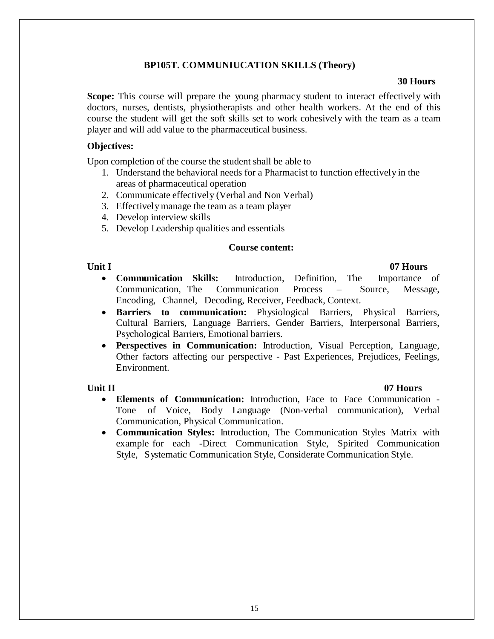## **BP105T. COMMUNIUCATION SKILLS (Theory)**

#### **30 Hours**

**Scope:** This course will prepare the young pharmacy student to interact effectively with doctors, nurses, dentists, physiotherapists and other health workers. At the end of this course the student will get the soft skills set to work cohesively with the team as a team player and will add value to the pharmaceutical business.

#### **Objectives:**

Upon completion of the course the student shall be able to

- 1. Understand the behavioral needs for a Pharmacist to function effectively in the areas of pharmaceutical operation
- 2. Communicate effectively (Verbal and Non Verbal)
- 3. Effectivelymanage the team as a team player
- 4. Develop interview skills
- 5. Develop Leadership qualities and essentials

#### **Course content:**

# **Unit I 07 Hours**

- **Communication Skills:** Introduction, Definition, The Importance of Communication, The Communication Process – Source, Message, Encoding, Channel, Decoding, Receiver, Feedback, Context.
- **Barriers to communication:** Physiological Barriers, Physical Barriers, Cultural Barriers, Language Barriers, Gender Barriers, Interpersonal Barriers, Psychological Barriers, Emotional barriers.
- **Perspectives in Communication:** Introduction, Visual Perception, Language, Other factors affecting our perspective - Past Experiences, Prejudices, Feelings, Environment.

- **Elements of Communication:** Introduction, Face to Face Communication Tone of Voice, Body Language (Non-verbal communication), Verbal Communication, Physical Communication.
- **Communication Styles:** Introduction, The Communication Styles Matrix with example for each -Direct Communication Style, Spirited Communication Style, Systematic Communication Style, Considerate Communication Style.

# **Unit II 07 Hours**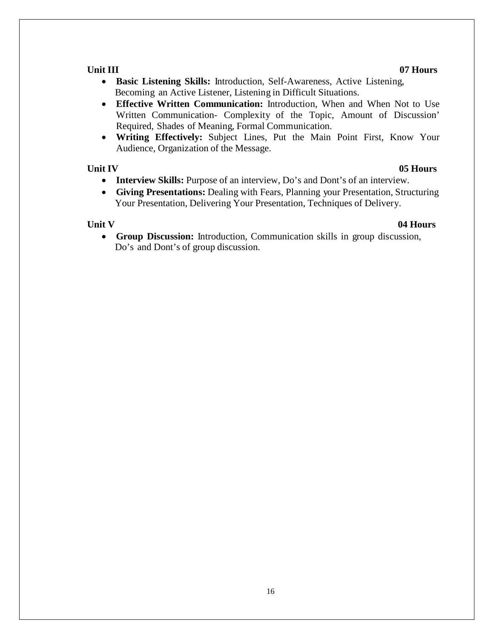#### **Unit III 07 Hours**

- **Basic Listening Skills:** Introduction, Self-Awareness, Active Listening, Becoming an Active Listener, Listening in Difficult Situations.
- **Effective Written Communication:** Introduction, When and When Not to Use Written Communication- Complexity of the Topic, Amount of Discussion' Required, Shades of Meaning, Formal Communication.
- **Writing Effectively:** Subject Lines, Put the Main Point First, Know Your Audience, Organization of the Message.

### **Unit IV 05 Hours**

- **Interview Skills:** Purpose of an interview, Do's and Dont's of an interview.
- **Giving Presentations:** Dealing with Fears, Planning your Presentation, Structuring Your Presentation, Delivering Your Presentation, Techniques of Delivery.

### **Unit V 04 Hours**

• **Group Discussion:** Introduction, Communication skills in group discussion, Do's and Dont's of group discussion.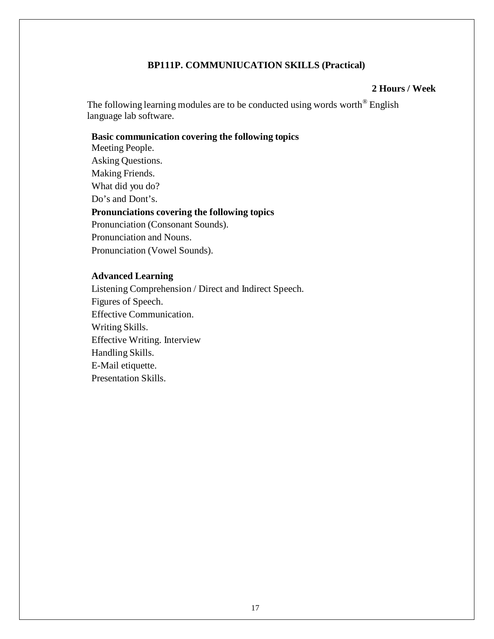#### **BP111P. COMMUNIUCATION SKILLS (Practical)**

#### **2 Hours / Week**

The following learning modules are to be conducted using words worth<sup>®</sup> English language lab software.

#### **Basic communication covering the following topics**

Meeting People. Asking Questions. Making Friends. What did you do? Do's and Dont's. **Pronunciations covering the following topics**  Pronunciation (Consonant Sounds).

Pronunciation and Nouns. Pronunciation (Vowel Sounds).

### **Advanced Learning**

Listening Comprehension / Direct and Indirect Speech. Figures of Speech. Effective Communication. Writing Skills. Effective Writing. Interview Handling Skills. E-Mail etiquette. Presentation Skills.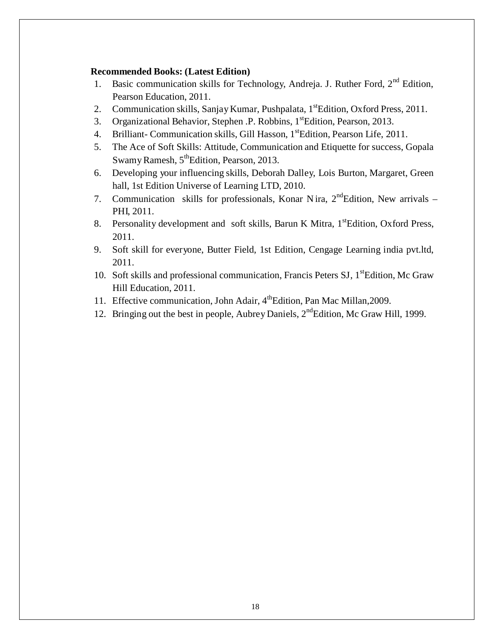#### **Recommended Books: (Latest Edition)**

- 1. Basic communication skills for Technology, Andreja. J. Ruther Ford, 2<sup>nd</sup> Edition, Pearson Education, 2011.
- 2. Communication skills, Sanjay Kumar, Pushpalata, 1<sup>st</sup>Edition, Oxford Press, 2011.
- 3. Organizational Behavior, Stephen .P. Robbins, 1<sup>st</sup>Edition, Pearson, 2013.
- 4. Brilliant-Communication skills, Gill Hasson, 1<sup>st</sup>Edition, Pearson Life, 2011.
- 5. The Ace of Soft Skills: Attitude, Communication and Etiquette for success, Gopala Swamy Ramesh,  $5^{\text{th}}$ Edition, Pearson, 2013.
- 6. Developing your influencing skills, Deborah Dalley, Lois Burton, Margaret, Green hall, 1st Edition Universe of Learning LTD, 2010.
- 7. Communication skills for professionals, Konar Nira,  $2<sup>nd</sup>Edition$ , New arrivals PHI, 2011.
- 8. Personality development and soft skills, Barun K Mitra, 1<sup>st</sup>Edition, Oxford Press, 2011.
- 9. Soft skill for everyone, Butter Field, 1st Edition, Cengage Learning india pvt.ltd, 2011.
- 10. Soft skills and professional communication, Francis Peters SJ, 1<sup>st</sup>Edition, Mc Graw Hill Education, 2011.
- 11. Effective communication, John Adair, 4<sup>th</sup> Edition, Pan Mac Millan, 2009.
- 12. Bringing out the best in people, Aubrey Daniels,  $2<sup>nd</sup>$ Edition, Mc Graw Hill, 1999.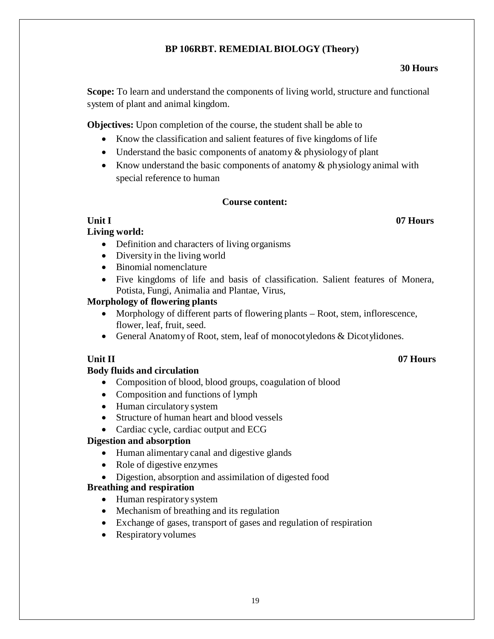# **BP 106RBT. REMEDIALBIOLOGY (Theory)**

### **30 Hours**

**Scope:** To learn and understand the components of living world, structure and functional system of plant and animal kingdom.

**Objectives:** Upon completion of the course, the student shall be able to

- Know the classification and salient features of five kingdoms of life
- Understand the basic components of anatomy  $\&$  physiology of plant
- Know understand the basic components of anatomy  $\&$  physiology animal with special reference to human

# **Course content:**

# **Living world:**

- Definition and characters of living organisms
- Diversity in the living world
- Binomial nomenclature
- Five kingdoms of life and basis of classification. Salient features of Monera, Potista, Fungi, Animalia and Plantae, Virus,

# **Morphology of flowering plants**

- Morphology of different parts of flowering plants Root, stem, inflorescence, flower, leaf, fruit, seed.
- General Anatomy of Root, stem, leaf of monocotyledons & Dicotylidones.

# **Unit II 07 Hours**

# **Body fluids and circulation**

- Composition of blood, blood groups, coagulation of blood
- Composition and functions of lymph
- Human circulatory system
- Structure of human heart and blood vessels
- Cardiac cycle, cardiac output and ECG

# **Digestion and absorption**

- Human alimentary canal and digestive glands
- Role of digestive enzymes
- Digestion, absorption and assimilation of digested food

# **Breathing and respiration**

- Human respiratory system
- Mechanism of breathing and its regulation
- Exchange of gases, transport of gases and regulation of respiration
- Respiratory volumes

# **Unit I 07 Hours**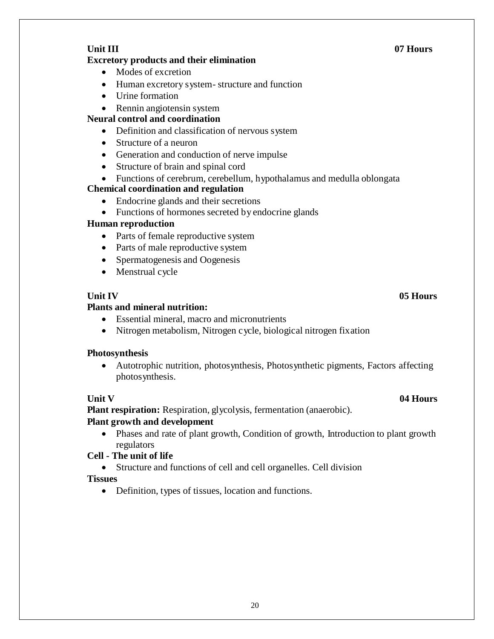## **Excretory products and their elimination**

- Modes of excretion
- Human excretory system- structure and function
- Urine formation
- Rennin angiotensin system

# **Neural control and coordination**

- Definition and classification of nervous system
- Structure of a neuron
- Generation and conduction of nerve impulse
- Structure of brain and spinal cord
- Functions of cerebrum, cerebellum, hypothalamus and medulla oblongata

# **Chemical coordination and regulation**

- Endocrine glands and their secretions
- Functions of hormones secreted by endocrine glands

### **Human reproduction**

- Parts of female reproductive system
- Parts of male reproductive system
- Spermatogenesis and Oogenesis
- Menstrual cycle

## **Plants and mineral nutrition:**

- Essential mineral, macro and micronutrients
- Nitrogen metabolism, Nitrogen cycle, biological nitrogen fixation

### **Photosynthesis**

• Autotrophic nutrition, photosynthesis, Photosynthetic pigments, Factors affecting photosynthesis.

# **Unit V 04 Hours**

**Plant respiration:** Respiration, glycolysis, fermentation (anaerobic).

### **Plant growth and development**

• Phases and rate of plant growth, Condition of growth, Introduction to plant growth regulators

# **Cell - The unit of life**

• Structure and functions of cell and cell organelles. Cell division

### **Tissues**

• Definition, types of tissues, location and functions.

# **Unit IV 05 Hours**

# **Unit III 07 Hours**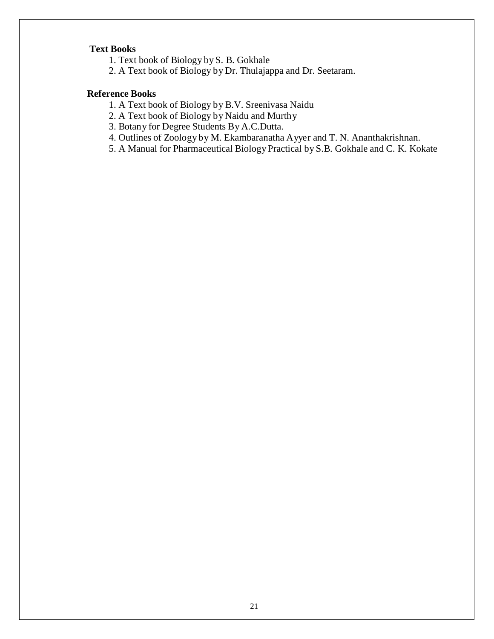#### **Text Books**

- 1. Text book of Biology by S. B. Gokhale
- 2. A Text book of Biology by Dr. Thulajappa and Dr. Seetaram.

# **Reference Books**

- 1. A Text book of Biology by B.V. Sreenivasa Naidu
- 2. A Text book of Biology by Naidu and Murthy
- 3. Botany for Degree Students By A.C.Dutta.
- 4. Outlines of Zoology by M. Ekambaranatha Ayyer and T. N. Ananthakrishnan.
- 5. A Manual for Pharmaceutical Biology Practical by S.B. Gokhale and C. K. Kokate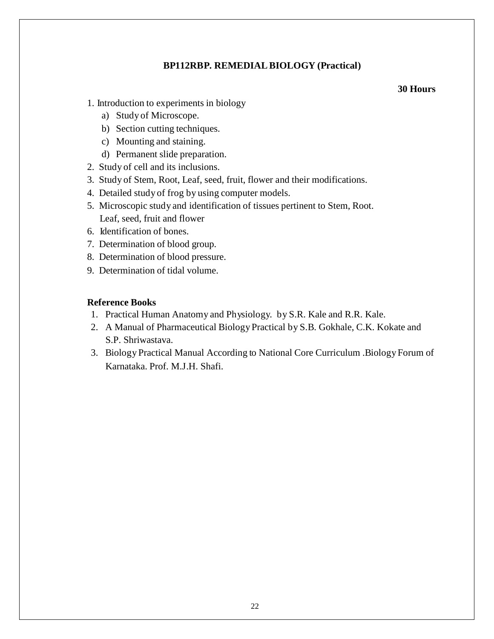## **BP112RBP. REMEDIALBIOLOGY (Practical)**

#### **30 Hours**

- 1. Introduction to experiments in biology
	- a) Study of Microscope.
	- b) Section cutting techniques.
	- c) Mounting and staining.
	- d) Permanent slide preparation.
- 2. Study of cell and its inclusions.
- 3. Study of Stem, Root, Leaf, seed, fruit, flower and their modifications.
- 4. Detailed study of frog by using computer models.
- 5. Microscopic study and identification of tissues pertinent to Stem, Root. Leaf, seed, fruit and flower
- 6. Identification of bones.
- 7. Determination of blood group.
- 8. Determination of blood pressure.
- 9. Determination of tidal volume.

#### **Reference Books**

- 1. Practical Human Anatomy and Physiology. by S.R. Kale and R.R. Kale.
- 2. A Manual of Pharmaceutical Biology Practical by S.B. Gokhale, C.K. Kokate and S.P. Shriwastava.
- 3. Biology Practical Manual According to National Core Curriculum .Biology Forum of Karnataka. Prof. M.J.H. Shafi.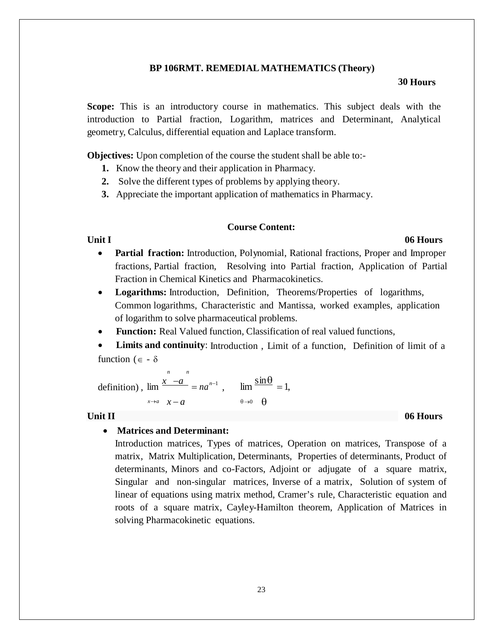#### **BP 106RMT. REMEDIAL MATHEMATICS (Theory)**

#### **30 Hours**

**Scope:** This is an introductory course in mathematics. This subject deals with the introduction to Partial fraction, Logarithm, matrices and Determinant, Analytical geometry, Calculus, differential equation and Laplace transform.

**Objectives:** Upon completion of the course the student shall be able to:-

- **1.** Know the theory and their application in Pharmacy.
- **2.** Solve the different types of problems by applying theory.
- **3.** Appreciate the important application of mathematics in Pharmacy.

#### **Course Content:**

#### **Unit I 06 Hours**

- **Partial fraction:** Introduction, Polynomial, Rational fractions, Proper and Improper fractions, Partial fraction, Resolving into Partial fraction, Application of Partial Fraction in Chemical Kinetics and Pharmacokinetics.
- **Logarithms:** Introduction, Definition, Theorems/Properties of logarithms, Common logarithms, Characteristic and Mantissa, worked examples, application of logarithm to solve pharmaceutical problems.
- **Function:** Real Valued function, Classification of real valued functions,
- **Limits and continuity**: Introduction , Limit of a function, Definition of limit of a function ( $\epsilon$  -  $\delta$

*n n*  definition),  $\lim \frac{x-a}{a} = na^{n-1}$ ,  $\lim \frac{\sin \theta}{a} = 1$ ,  $x \rightarrow a$   $x - a$   $\theta \rightarrow 0$   $\theta$ 

#### **Unit II 06 Hours**

#### • **Matrices and Determinant:**

Introduction matrices, Types of matrices, Operation on matrices, Transpose of a matrix, Matrix Multiplication, Determinants, Properties of determinants, Product of determinants, Minors and co-Factors, Adjoint or adjugate of a square matrix, Singular and non-singular matrices, Inverse of a matrix, Solution of system of linear of equations using matrix method, Cramer's rule, Characteristic equation and roots of a square matrix, Cayley-Hamilton theorem, Application of Matrices in solving Pharmacokinetic equations.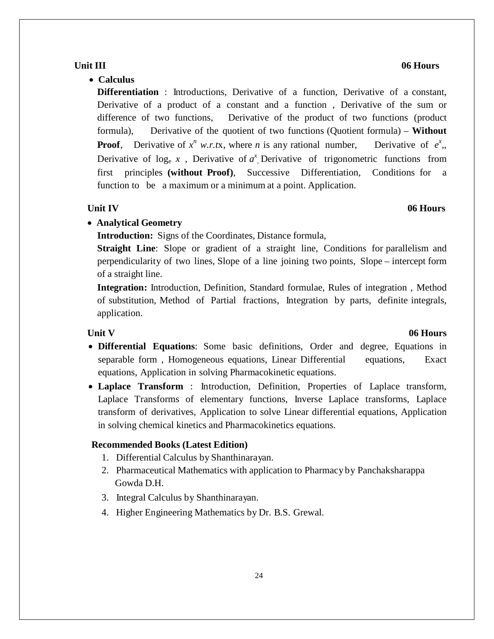# function to be a maximum or a minimum at a point. Application.

• **Calculus**

### • **Analytical Geometry**

**Introduction:** Signs of the Coordinates, Distance formula,

**Straight Line**: Slope or gradient of a straight line, Conditions for parallelism and perpendicularity of two lines, Slope of a line joining two points, Slope – intercept form of a straight line.

**Differentiation** : Introductions, Derivative of a function, Derivative of a constant, Derivative of a product of a constant and a function , Derivative of the sum or difference of two functions, Derivative of the product of two functions (product formula), Derivative of the quotient of two functions (Quotient formula) – **Without Proof**, Derivative of  $x^n$  *w.r.tx*, where *n* is any rational number, Derivative of *e* 

Derivative of  $log_e x$ , Derivative of  $a^x$ , Derivative of trigonometric functions from first principles **(without Proof)**, Successive Differentiation, Conditions for a

**Integration:** Introduction, Definition, Standard formulae, Rules of integration , Method of substitution, Method of Partial fractions, Integration by parts, definite integrals, application.

- **Differential Equations**: Some basic definitions, Order and degree, Equations in separable form , Homogeneous equations, Linear Differential equations, Exact equations, Application in solving Pharmacokinetic equations.
- **Laplace Transform** : Introduction, Definition, Properties of Laplace transform, Laplace Transforms of elementary functions, Inverse Laplace transforms, Laplace transform of derivatives, Application to solve Linear differential equations, Application in solving chemical kinetics and Pharmacokinetics equations.

#### **Recommended Books (Latest Edition)**

- 1. Differential Calculus by Shanthinarayan.
- 2. Pharmaceutical Mathematics with application to Pharmacy by Panchaksharappa Gowda D.H.
- 3. Integral Calculus by Shanthinarayan.
- 4. Higher Engineering Mathematics by Dr. B.S. Grewal.

#### **Unit III 06 Hours**

*x ,*,

#### **Unit V 06 Hours**

# **Unit IV 06 Hours**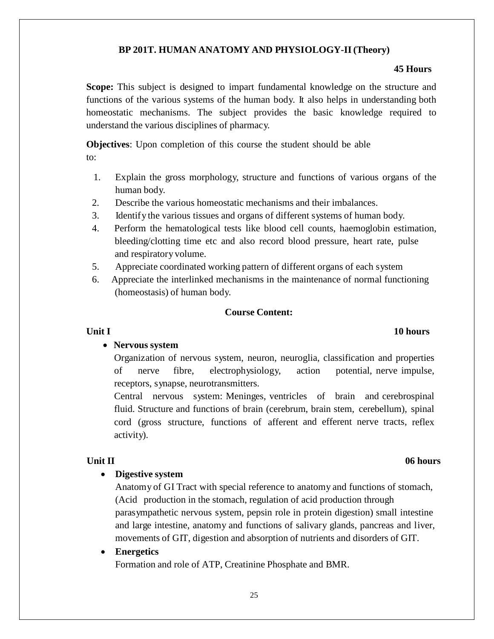#### **BP 201T. HUMAN ANATOMY AND PHYSIOLOGY-II(Theory)**

#### **45 Hours**

**Scope:** This subject is designed to impart fundamental knowledge on the structure and functions of the various systems of the human body. It also helps in understanding both homeostatic mechanisms. The subject provides the basic knowledge required to understand the various disciplines of pharmacy.

**Objectives**: Upon completion of this course the student should be able to:

- 1. Explain the gross morphology, structure and functions of various organs of the human body.
- 2. Describe the various homeostatic mechanisms and their imbalances.
- 3. Identify the various tissues and organs of different systems of human body.
- 4. Perform the hematological tests like blood cell counts, haemoglobin estimation, bleeding/clotting time etc and also record blood pressure, heart rate, pulse and respiratory volume.
- 5. Appreciate coordinated working pattern of different organs of each system
- 6. Appreciate the interlinked mechanisms in the maintenance of normal functioning (homeostasis) of human body.

### **Course Content:**

#### • **Nervous system**

Organization of nervous system, neuron, neuroglia, classification and properties of nerve fibre, electrophysiology, action potential, nerve impulse, receptors, synapse, neurotransmitters.

Central nervous system: Meninges, ventricles of brain and cerebrospinal fluid. Structure and functions of brain (cerebrum, brain stem, cerebellum), spinal cord (gross structure, functions of afferent and efferent nerve tracts, reflex activity).

#### • **Digestive system**

Anatomy of GI Tract with special reference to anatomy and functions of stomach, (Acid production in the stomach, regulation of acid production through parasympathetic nervous system, pepsin role in protein digestion) small intestine and large intestine, anatomy and functions of salivary glands, pancreas and liver, movements of GIT, digestion and absorption of nutrients and disorders of GIT.

#### • **Energetics**

Formation and role of ATP, Creatinine Phosphate and BMR.

### **Unit II 06 hours**

#### **Unit I** 10 **hours**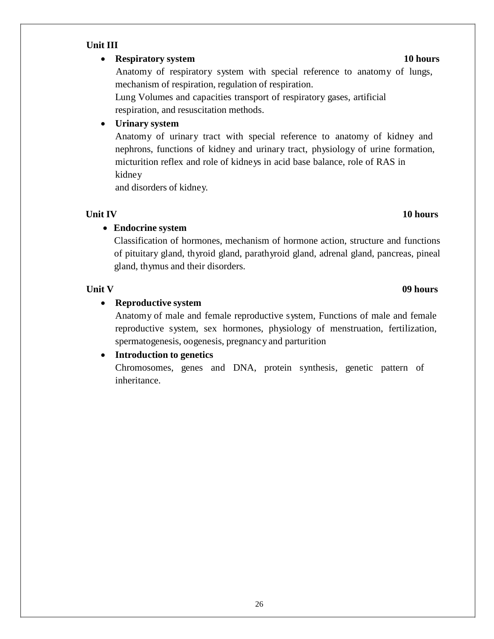# **Unit III**

# • **Respiratory system 10 hours**

Anatomy of respiratory system with special reference to anatomy of lungs, mechanism of respiration, regulation of respiration.

Lung Volumes and capacities transport of respiratory gases, artificial respiration, and resuscitation methods.

# • **Urinary system**

Anatomy of urinary tract with special reference to anatomy of kidney and nephrons, functions of kidney and urinary tract, physiology of urine formation, micturition reflex and role of kidneys in acid base balance, role of RAS in kidney

and disorders of kidney.

# • **Endocrine system**

Classification of hormones, mechanism of hormone action, structure and functions of pituitary gland, thyroid gland, parathyroid gland, adrenal gland, pancreas, pineal gland, thymus and their disorders.

# **Unit V 09 hours**

# • **Reproductive system**

Anatomy of male and female reproductive system, Functions of male and female reproductive system, sex hormones, physiology of menstruation, fertilization, spermatogenesis, oogenesis, pregnancy and parturition

# • **Introduction to genetics**

Chromosomes, genes and DNA, protein synthesis, genetic pattern of inheritance.

#### **Unit IV 10 hours**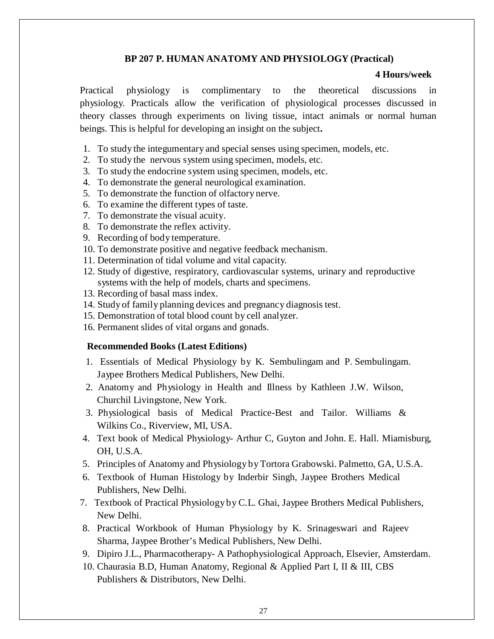#### **BP 207 P. HUMAN ANATOMY AND PHYSIOLOGY (Practical)**

#### **4 Hours/week**

Practical physiology is complimentary to the theoretical discussions in physiology. Practicals allow the verification of physiological processes discussed in theory classes through experiments on living tissue, intact animals or normal human beings. This is helpful for developing an insight on the subject**.**

- 1. To study the integumentary and special senses using specimen, models, etc.
- 2. To study the nervous system using specimen, models, etc.
- 3. To study the endocrine system using specimen, models, etc.
- 4. To demonstrate the general neurological examination.
- 5. To demonstrate the function of olfactory nerve.
- 6. To examine the different types of taste.
- 7. To demonstrate the visual acuity.
- 8. To demonstrate the reflex activity.
- 9. Recording of body temperature.
- 10. To demonstrate positive and negative feedback mechanism.
- 11. Determination of tidal volume and vital capacity.
- 12. Study of digestive, respiratory, cardiovascular systems, urinary and reproductive systems with the help of models, charts and specimens.
- 13. Recording of basal mass index.
- 14. Study of family planning devices and pregnancy diagnosis test.
- 15. Demonstration of total blood count by cell analyzer.
- 16. Permanent slides of vital organs and gonads.

#### **Recommended Books (Latest Editions)**

- 1. Essentials of Medical Physiology by K. Sembulingam and P. Sembulingam. Jaypee Brothers Medical Publishers, New Delhi.
- 2. Anatomy and Physiology in Health and Illness by Kathleen J.W. Wilson, Churchil Livingstone, New York.
- 3. Physiological basis of Medical Practice-Best and Tailor. Williams & Wilkins Co., Riverview, MI, USA.
- 4. Text book of Medical Physiology- Arthur C, Guyton and John. E. Hall. Miamisburg, OH, U.S.A.
- 5. Principles of Anatomy and Physiology by Tortora Grabowski. Palmetto, GA, U.S.A.
- 6. Textbook of Human Histology by Inderbir Singh, Jaypee Brothers Medical Publishers, New Delhi.
- 7. Textbook of Practical Physiology by C.L. Ghai, Jaypee Brothers Medical Publishers, New Delhi.
- 8. Practical Workbook of Human Physiology by K. Srinageswari and Rajeev Sharma, Jaypee Brother's Medical Publishers, New Delhi.
- 9. Dipiro J.L., Pharmacotherapy- A Pathophysiological Approach, Elsevier, Amsterdam.
- 10. Chaurasia B.D, Human Anatomy, Regional & Applied Part I, II & III, CBS Publishers & Distributors, New Delhi.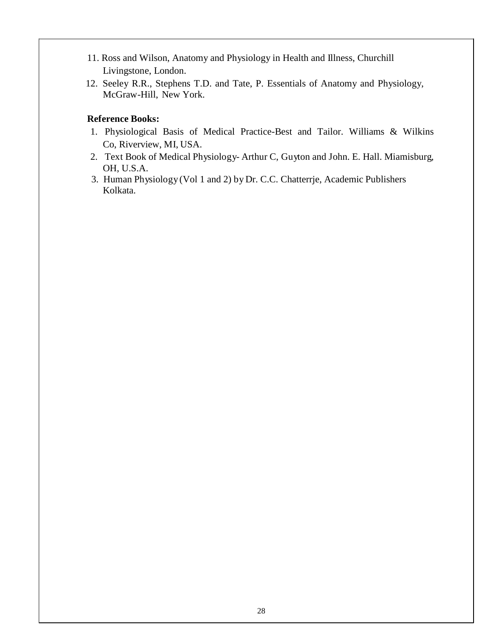- 11. Ross and Wilson, Anatomy and Physiology in Health and Illness, Churchill Livingstone, London.
- 12. Seeley R.R., Stephens T.D. and Tate, P. Essentials of Anatomy and Physiology, McGraw-Hill, New York.

# **Reference Books:**

- 1. Physiological Basis of Medical Practice-Best and Tailor. Williams & Wilkins Co, Riverview, MI, USA.
- 2. Text Book of Medical Physiology- Arthur C, Guyton and John. E. Hall. Miamisburg, OH, U.S.A.
- 3. Human Physiology (Vol 1 and 2) by Dr. C.C. Chatterrje, Academic Publishers Kolkata.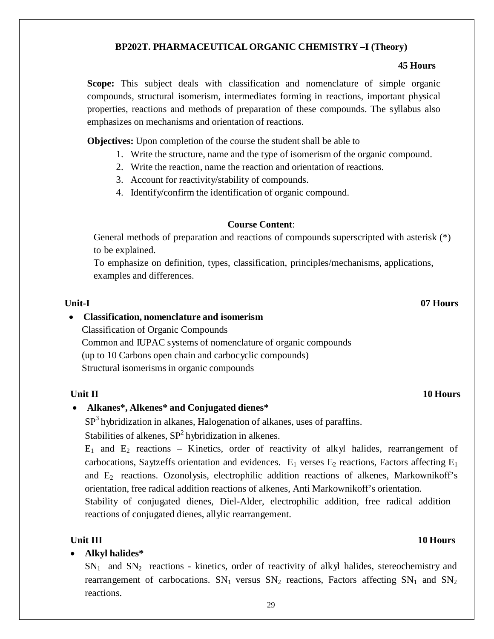# **BP202T. PHARMACEUTICAL ORGANIC CHEMISTRY –I (Theory)**

#### **45 Hours**

**Scope:** This subject deals with classification and nomenclature of simple organic compounds, structural isomerism, intermediates forming in reactions, important physical properties, reactions and methods of preparation of these compounds. The syllabus also emphasizes on mechanisms and orientation of reactions.

**Objectives:** Upon completion of the course the student shall be able to

- 1. Write the structure, name and the type of isomerism of the organic compound.
- 2. Write the reaction, name the reaction and orientation of reactions.
- 3. Account for reactivity/stability of compounds.
- 4. Identify/confirm the identification of organic compound.

## **Course Content**:

General methods of preparation and reactions of compounds superscripted with asterisk (\*) to be explained.

To emphasize on definition, types, classification, principles/mechanisms, applications, examples and differences.

# • **Classification, nomenclature and isomerism**

Classification of Organic Compounds

Common and IUPAC systems of nomenclature of organic compounds (up to 10 Carbons open chain and carbocyclic compounds) Structural isomerisms in organic compounds

# **Unit II** 10 **Hours**

# • **Alkanes\*, Alkenes\* and Conjugated dienes\***

SP<sup>3</sup> hybridization in alkanes, Halogenation of alkanes, uses of paraffins. Stabilities of alkenes,  $SP<sup>2</sup>$  hybridization in alkenes.

 $E_1$  and  $E_2$  reactions – Kinetics, order of reactivity of alkyl halides, rearrangement of carbocations, Saytzeffs orientation and evidences.  $E_1$  verses  $E_2$  reactions, Factors affecting  $E_1$ and  $E_2$  reactions. Ozonolysis, electrophilic addition reactions of alkenes, Markownikoff's orientation, free radical addition reactions of alkenes, Anti Markownikoff's orientation.

Stability of conjugated dienes, Diel-Alder, electrophilic addition, free radical addition reactions of conjugated dienes, allylic rearrangement.

# **Unit III** 10 **Hours**

• **Alkyl halides\***

 $SN<sub>1</sub>$  and  $SN<sub>2</sub>$  reactions - kinetics, order of reactivity of alkyl halides, stereochemistry and rearrangement of carbocations.  $SN_1$  versus  $SN_2$  reactions, Factors affecting  $SN_1$  and  $SN_2$ reactions.

#### **Unit-I 07 Hours**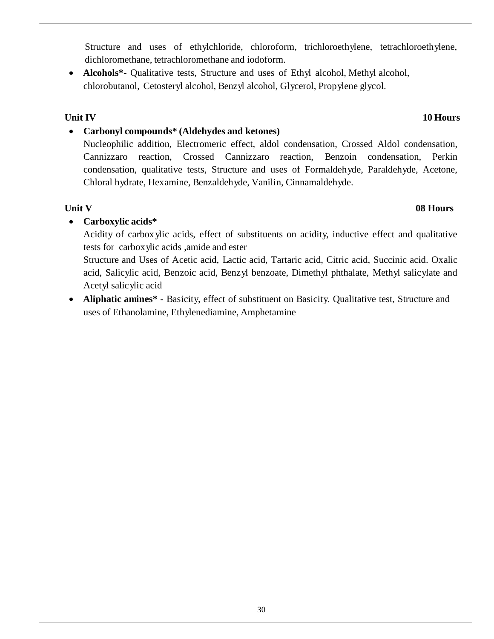Structure and uses of ethylchloride, chloroform, trichloroethylene, tetrachloroethylene, dichloromethane, tetrachloromethane and iodoform.

• **Alcohols\*-** Qualitative tests, Structure and uses of Ethyl alcohol, Methyl alcohol, chlorobutanol, Cetosteryl alcohol, Benzyl alcohol, Glycerol, Propylene glycol.

# **Unit IV 10 Hours**

# • **Carbonyl compounds\* (Aldehydes and ketones)**

Nucleophilic addition, Electromeric effect, aldol condensation, Crossed Aldol condensation, Cannizzaro reaction, Crossed Cannizzaro reaction, Benzoin condensation, Perkin condensation, qualitative tests, Structure and uses of Formaldehyde, Paraldehyde, Acetone, Chloral hydrate, Hexamine, Benzaldehyde, Vanilin, Cinnamaldehyde.

# • **Carboxylic acids\***

Acidity of carboxylic acids, effect of substituents on acidity, inductive effect and qualitative tests for carboxylic acids ,amide and ester

Structure and Uses of Acetic acid, Lactic acid, Tartaric acid, Citric acid, Succinic acid. Oxalic acid, Salicylic acid, Benzoic acid, Benzyl benzoate, Dimethyl phthalate, Methyl salicylate and Acetyl salicylic acid

• **Aliphatic amines\* -** Basicity, effect of substituent on Basicity. Qualitative test, Structure and uses of Ethanolamine, Ethylenediamine, Amphetamine

# **Unit V 08 Hours**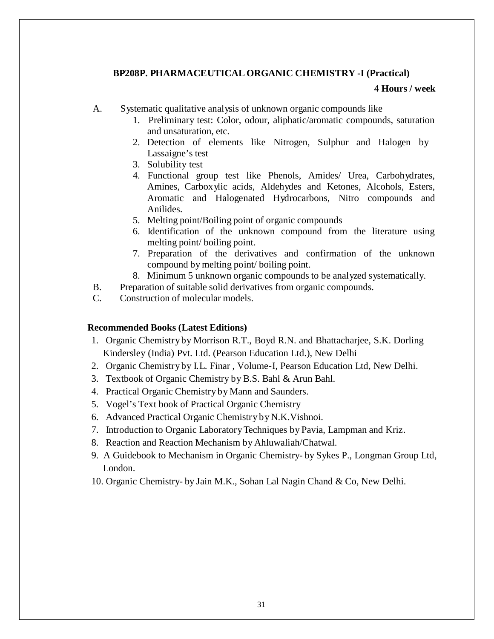## **BP208P. PHARMACEUTICAL ORGANIC CHEMISTRY -I (Practical)**

#### **4 Hours / week**

- A. Systematic qualitative analysis of unknown organic compounds like
	- 1. Preliminary test: Color, odour, aliphatic/aromatic compounds, saturation and unsaturation, etc.
	- 2. Detection of elements like Nitrogen, Sulphur and Halogen by Lassaigne's test
	- 3. Solubility test
	- 4. Functional group test like Phenols, Amides/ Urea, Carbohydrates, Amines, Carboxylic acids, Aldehydes and Ketones, Alcohols, Esters, Aromatic and Halogenated Hydrocarbons, Nitro compounds and Anilides.
	- 5. Melting point/Boiling point of organic compounds
	- 6. Identification of the unknown compound from the literature using melting point/ boiling point.
	- 7. Preparation of the derivatives and confirmation of the unknown compound by melting point/ boiling point.
	- 8. Minimum 5 unknown organic compounds to be analyzed systematically.
- B. Preparation of suitable solid derivatives from organic compounds.
- C. Construction of molecular models.

#### **Recommended Books (Latest Editions)**

- 1. Organic Chemistry by Morrison R.T., Boyd R.N. and Bhattacharjee, S.K. Dorling Kindersley (India) Pvt. Ltd. (Pearson Education Ltd.), New Delhi
- 2. Organic Chemistry by I.L. Finar , Volume-I, Pearson Education Ltd, New Delhi.
- 3. Textbook of Organic Chemistry by B.S. Bahl & Arun Bahl.
- 4. Practical Organic Chemistry by Mann and Saunders.
- 5. Vogel's Text book of Practical Organic Chemistry
- 6. Advanced Practical Organic Chemistry by N.K.Vishnoi.
- 7. Introduction to Organic LaboratoryTechniques by Pavia, Lampman and Kriz.
- 8. Reaction and Reaction Mechanism by Ahluwaliah/Chatwal.
- 9. A Guidebook to Mechanism in Organic Chemistry- by Sykes P., Longman Group Ltd, London.
- 10. Organic Chemistry- by Jain M.K., Sohan Lal Nagin Chand & Co, New Delhi.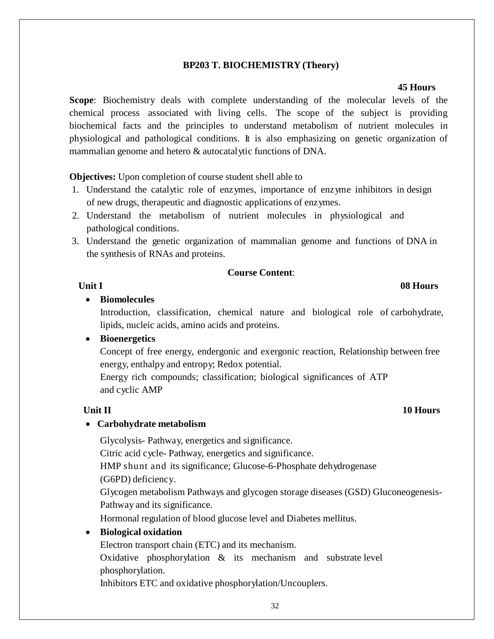## **BP203 T. BIOCHEMISTRY (Theory)**

#### **45 Hours**

**Scope**: Biochemistry deals with complete understanding of the molecular levels of the chemical process associated with living cells. The scope of the subject is providing biochemical facts and the principles to understand metabolism of nutrient molecules in physiological and pathological conditions. It is also emphasizing on genetic organization of mammalian genome and hetero & autocatalytic functions of DNA.

**Objectives:** Upon completion of course student shell able to

- 1. Understand the catalytic role of enzymes, importance of enzyme inhibitors in design of new drugs, therapeutic and diagnostic applications of enzymes.
- 2. Understand the metabolism of nutrient molecules in physiological and pathological conditions.
- 3. Understand the genetic organization of mammalian genome and functions of DNA in the synthesis of RNAs and proteins.

### **Course Content**:

#### **Unit I 08 Hours**

#### • **Biomolecules**

Introduction, classification, chemical nature and biological role of carbohydrate, lipids, nucleic acids, amino acids and proteins.

#### • **Bioenergetics**

Concept of free energy, endergonic and exergonic reaction, Relationship between free energy, enthalpy and entropy; Redox potential.

Energy rich compounds; classification; biological significances of ATP and cyclic AMP

### • **Carbohydrate metabolism**

Glycolysis- Pathway, energetics and significance.

Citric acid cycle- Pathway, energetics and significance.

HMP shunt and its significance; Glucose-6-Phosphate dehydrogenase

(G6PD) deficiency.

Glycogen metabolism Pathways and glycogen storage diseases (GSD) Gluconeogenesis-Pathway and its significance.

Hormonal regulation of blood glucose level and Diabetes mellitus.

### • **Biological oxidation**

Electron transport chain (ETC) and its mechanism.

Oxidative phosphorylation  $\&$  its mechanism and substrate level phosphorylation.

Inhibitors ETC and oxidative phosphorylation/Uncouplers.

# **Unit II** 10 **Hours**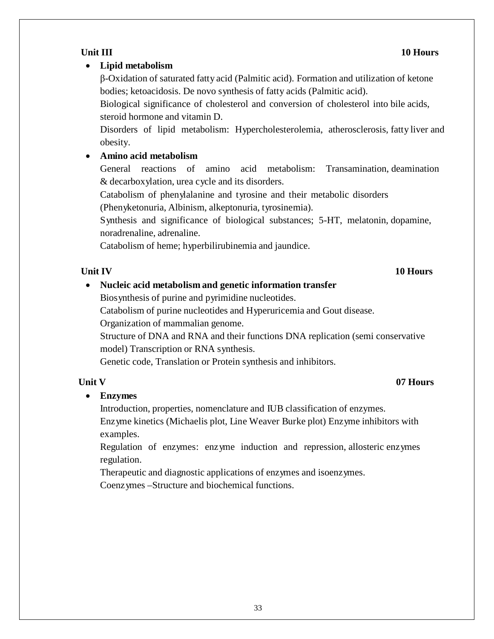# • **Lipid metabolism**

β-Oxidation of saturated fatty acid (Palmitic acid). Formation and utilization of ketone bodies; ketoacidosis. De novo synthesis of fatty acids (Palmitic acid).

Biological significance of cholesterol and conversion of cholesterol into bile acids, steroid hormone and vitamin D.

Disorders of lipid metabolism: Hypercholesterolemia, atherosclerosis, fatty liver and obesity.

# • **Amino acid metabolism**

General reactions of amino acid metabolism: Transamination, deamination & decarboxylation, urea cycle and its disorders.

Catabolism of phenylalanine and tyrosine and their metabolic disorders (Phenyketonuria, Albinism, alkeptonuria, tyrosinemia).

Synthesis and significance of biological substances; 5-HT, melatonin, dopamine, noradrenaline, adrenaline.

Catabolism of heme; hyperbilirubinemia and jaundice.

# **Unit IV 10 Hours**

• **Nucleic acid metabolism and genetic information transfer**

Biosynthesis of purine and pyrimidine nucleotides.

Catabolism of purine nucleotides and Hyperuricemia and Gout disease.

Organization of mammalian genome.

Structure of DNA and RNA and their functions DNA replication (semi conservative model) Transcription or RNA synthesis.

Genetic code, Translation or Protein synthesis and inhibitors.

# **Unit V 07 Hours**

# • **Enzymes**

Introduction, properties, nomenclature and IUB classification of enzymes. Enzyme kinetics (Michaelis plot, Line Weaver Burke plot) Enzyme inhibitors with examples.

Regulation of enzymes: enzyme induction and repression, allosteric enzymes regulation.

Therapeutic and diagnostic applications of enzymes and isoenzymes.

Coenzymes –Structure and biochemical functions.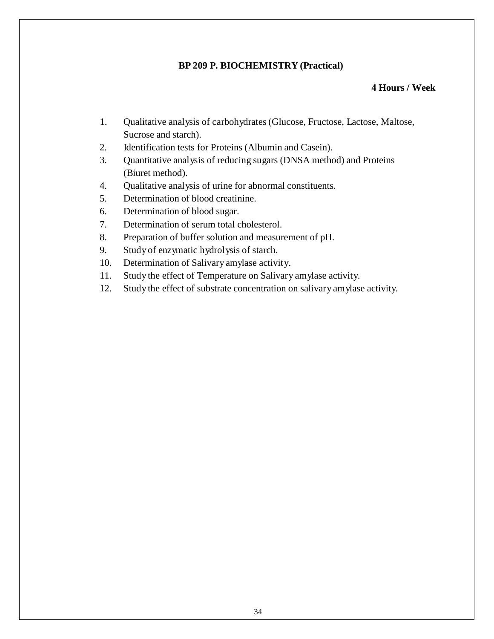### **BP 209 P. BIOCHEMISTRY (Practical)**

#### **4 Hours / Week**

- 1. Qualitative analysis of carbohydrates (Glucose, Fructose, Lactose, Maltose, Sucrose and starch).
- 2. Identification tests for Proteins (Albumin and Casein).
- 3. Quantitative analysis of reducing sugars (DNSA method) and Proteins (Biuret method).
- 4. Qualitative analysis of urine for abnormal constituents.
- 5. Determination of blood creatinine.
- 6. Determination of blood sugar.
- 7. Determination of serum total cholesterol.
- 8. Preparation of buffer solution and measurement of pH.
- 9. Study of enzymatic hydrolysis of starch.
- 10. Determination of Salivary amylase activity.
- 11. Study the effect of Temperature on Salivary amylase activity.
- 12. Study the effect of substrate concentration on salivary amylase activity.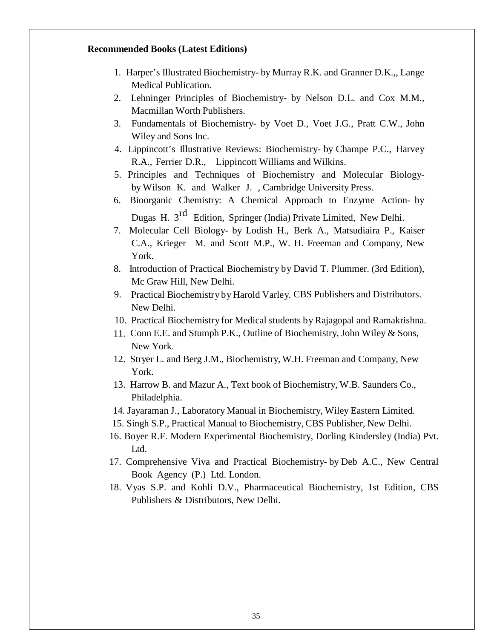#### **Recommended Books (Latest Editions)**

- 1. Harper's Illustrated Biochemistry- by Murray R.K. and Granner D.K.,, Lange Medical Publication.
- 2. Lehninger Principles of Biochemistry- by Nelson D.L. and Cox M.M., Macmillan Worth Publishers.
- 3. Fundamentals of Biochemistry- by Voet D., Voet J.G., Pratt C.W., John Wiley and Sons Inc.
- 4. Lippincott's Illustrative Reviews: Biochemistry- by Champe P.C., Harvey R.A., Ferrier D.R., Lippincott Williams and Wilkins.
- 5. Principles and Techniques of Biochemistry and Molecular Biologyby Wilson K. and Walker J. , Cambridge University Press.
- 6. Bioorganic Chemistry: A Chemical Approach to Enzyme Action- by Dugas H. 3<sup>rd</sup> Edition, Springer (India) Private Limited, New Delhi.
- 7. Molecular Cell Biology- by Lodish H., Berk A., Matsudiaira P., Kaiser C.A., Krieger M. and Scott M.P., W. H. Freeman and Company, New York.
- 8. Introduction of Practical Biochemistry by David T. Plummer. (3rd Edition), Mc Graw Hill, New Delhi.
- 9. Practical Biochemistry by Harold Varley. CBS Publishers and Distributors. New Delhi.
- 10. Practical Biochemistry for Medical students by Rajagopal and Ramakrishna.
- 11. Conn E.E. and Stumph P.K., Outline of Biochemistry, John Wiley & Sons, New York.
- 12. Stryer L. and Berg J.M., Biochemistry, W.H. Freeman and Company, New York.
- 13. Harrow B. and Mazur A., Text book of Biochemistry, W.B. Saunders Co., Philadelphia.
- 14. Jayaraman J., Laboratory Manual in Biochemistry, Wiley Eastern Limited.
- 15. Singh S.P., Practical Manual to Biochemistry, CBS Publisher, New Delhi.
- 16. Boyer R.F. Modern Experimental Biochemistry, Dorling Kindersley (India) Pvt. Ltd.
- 17. Comprehensive Viva and Practical Biochemistry- by Deb A.C., New Central Book Agency (P.) Ltd. London.
- 18. Vyas S.P. and Kohli D.V., Pharmaceutical Biochemistry, 1st Edition, CBS Publishers & Distributors, New Delhi.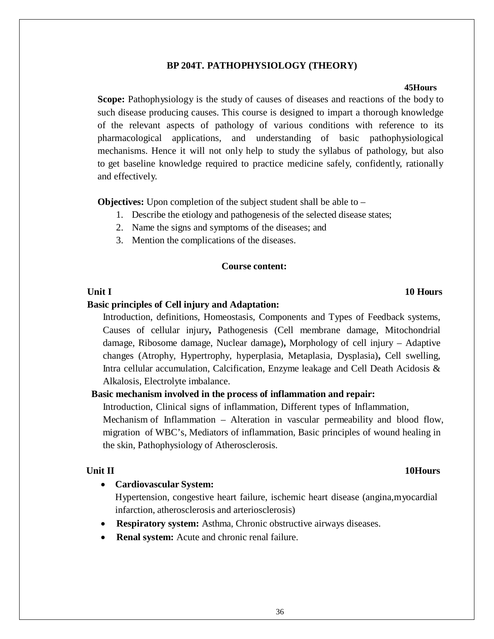#### **BP 204T. PATHOPHYSIOLOGY (THEORY)**

#### **45Hours**

**Scope:** Pathophysiology is the study of causes of diseases and reactions of the body to such disease producing causes. This course is designed to impart a thorough knowledge of the relevant aspects of pathology of various conditions with reference to its pharmacological applications, and understanding of basic pathophysiological mechanisms. Hence it will not only help to study the syllabus of pathology, but also to get baseline knowledge required to practice medicine safely, confidently, rationally and effectively.

**Objectives:** Upon completion of the subject student shall be able to –

- 1. Describe the etiology and pathogenesis of the selected disease states;
- 2. Name the signs and symptoms of the diseases; and
- 3. Mention the complications of the diseases.

#### **Course content:**

#### **Unit I** 10 Hours

#### **Basic principles of Cell injury and Adaptation:**

Introduction, definitions, Homeostasis, Components and Types of Feedback systems, Causes of cellular injury**,** Pathogenesis (Cell membrane damage, Mitochondrial damage, Ribosome damage, Nuclear damage)**,** Morphology of cell injury – Adaptive changes (Atrophy, Hypertrophy, hyperplasia, Metaplasia, Dysplasia)**,** Cell swelling, Intra cellular accumulation, Calcification, Enzyme leakage and Cell Death Acidosis & Alkalosis, Electrolyte imbalance.

#### **Basic mechanism involved in the process of inflammation and repair:**

Introduction, Clinical signs of inflammation, Different types of Inflammation,

Mechanism of Inflammation – Alteration in vascular permeability and blood flow, migration of WBC's, Mediators of inflammation, Basic principles of wound healing in the skin, Pathophysiology of Atherosclerosis.

#### **Unit II** 10Hours

#### • **Cardiovascular System:**

Hypertension, congestive heart failure, ischemic heart disease (angina,myocardial infarction, atherosclerosis and arteriosclerosis)

- **Respiratory system:** Asthma, Chronic obstructive airways diseases.
- **Renal system:** Acute and chronic renal failure.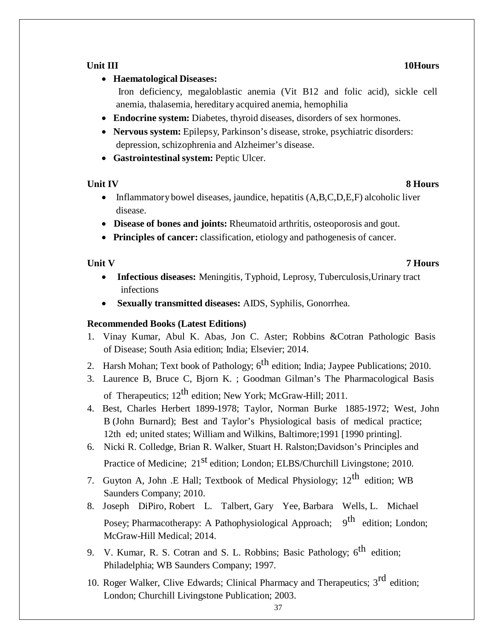### **Unit** III 10Hours

# • **Haematological Diseases:**

Iron deficiency, megaloblastic anemia (Vit B12 and folic acid), sickle cell anemia, thalasemia, hereditary acquired anemia, hemophilia

- **Endocrine system:** Diabetes, thyroid diseases, disorders of sex hormones.
- **Nervous system:** Epilepsy, Parkinson's disease, stroke, psychiatric disorders: depression, schizophrenia and Alzheimer's disease.
- **Gastrointestinal system:** Peptic Ulcer.

# **Unit IV** 8 **Hours**

- Inflammatory bowel diseases, jaundice, hepatitis  $(A, B, C, D, E, F)$  alcoholic liver disease.
- **Disease of bones and joints:** Rheumatoid arthritis, osteoporosis and gout.
- **Principles of cancer:** classification, etiology and pathogenesis of cancer.

# **Unit V 7 Hours**

- **Infectious diseases:** Meningitis, Typhoid, Leprosy, Tuberculosis,Urinary tract infections
- **Sexually transmitted diseases:** AIDS, Syphilis, Gonorrhea.

# **Recommended Books (Latest Editions)**

- 1. Vinay Kumar, Abul K. Abas, Jon C. Aster; Robbins &Cotran Pathologic Basis of Disease; South Asia edition; India; Elsevier; 2014.
- 2. Harsh Mohan; Text book of Pathology;  $6^{th}$  edition; India; Jaypee Publications; 2010.
- 3. Laurence B, Bruce C, Bjorn K. ; Goodman Gilman's The Pharmacological Basis of Therapeutics;  $12^{th}$  edition; New York; McGraw-Hill; 2011.
- 4. Best, Charles Herbert 1899-1978; Taylor, Norman Burke 1885-1972; West, John B (John Burnard); Best and Taylor's Physiological basis of medical practice; 12th ed; united states; William and Wilkins, Baltimore;1991 [1990 printing].
- 6. Nicki R. Colledge, Brian R. Walker, Stuart H. Ralston;Davidson's Principles and Practice of Medicine; 21<sup>st</sup> edition; London; ELBS/Churchill Livingstone; 2010.
- 7. Guyton A, John .E Hall; Textbook of Medical Physiology;  $12^{th}$  edition; WB Saunders Company; 2010.
- 8. Joseph DiPiro, Robert L. Talbert, Gary Yee, Barbara Wells, L. Michael Posey; Pharmacotherapy: A Pathophysiological Approach; 9<sup>th</sup> edition; London; McGraw-Hill Medical; 2014.
- 9. V. Kumar, R. S. Cotran and S. L. Robbins; Basic Pathology;  $6^{th}$  edition; Philadelphia; WB Saunders Company; 1997.
- 10. Roger Walker, Clive Edwards; Clinical Pharmacy and Therapeutics;  $3<sup>rd</sup>$  edition; London; Churchill Livingstone Publication; 2003.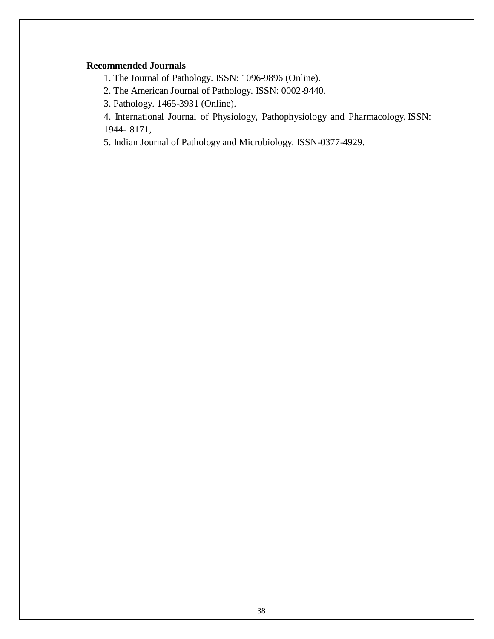### **Recommended Journals**

1. The Journal of Pathology. ISSN: 1096-9896 (Online).

2. The American Journal of Pathology. ISSN: 0002-9440.

3. Pathology. 1465-3931 (Online).

4. International Journal of Physiology, Pathophysiology and Pharmacology, ISSN: 1944- 8171,

5. Indian Journal of Pathology and Microbiology. ISSN-0377-4929.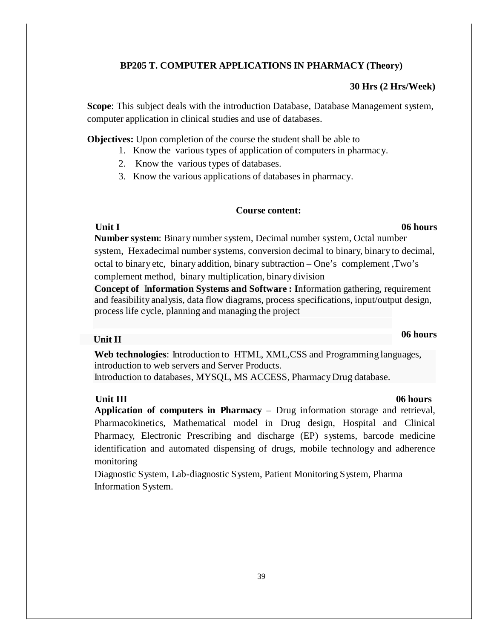### **BP205 T. COMPUTER APPLICATIONS IN PHARMACY (Theory)**

#### **30 Hrs (2 Hrs/Week)**

**Scope**: This subject deals with the introduction Database, Database Management system, computer application in clinical studies and use of databases.

**Objectives:** Upon completion of the course the student shall be able to

- 1. Know the various types of application of computers in pharmacy.
- 2. Know the various types of databases.
- 3. Know the various applications of databases in pharmacy.

### **Course content:**

**Number system**: Binary number system, Decimal number system, Octal number system, Hexadecimal number systems, conversion decimal to binary, binary to decimal, octal to binary etc, binary addition, binary subtraction – One's complement ,Two's complement method, binary multiplication, binary division

**Concept of** I**nformation Systems and Software : I**nformation gathering, requirement and feasibility analysis, data flow diagrams, process specifications, input/output design, process life cycle, planning and managing the project

# **Unit II 06 hours**

**Web technologies**: Introduction to HTML, XML,CSS and Programming languages, introduction to web servers and Server Products. Introduction to databases, MYSQL, MS ACCESS, PharmacyDrug database.

### **Unit III 06 hours**

**Application of computers in Pharmacy** – Drug information storage and retrieval, Pharmacokinetics, Mathematical model in Drug design, Hospital and Clinical Pharmacy, Electronic Prescribing and discharge (EP) systems, barcode medicine identification and automated dispensing of drugs, mobile technology and adherence monitoring

Diagnostic System, Lab-diagnostic System, Patient Monitoring System, Pharma Information System.

# **Unit I 06 hours**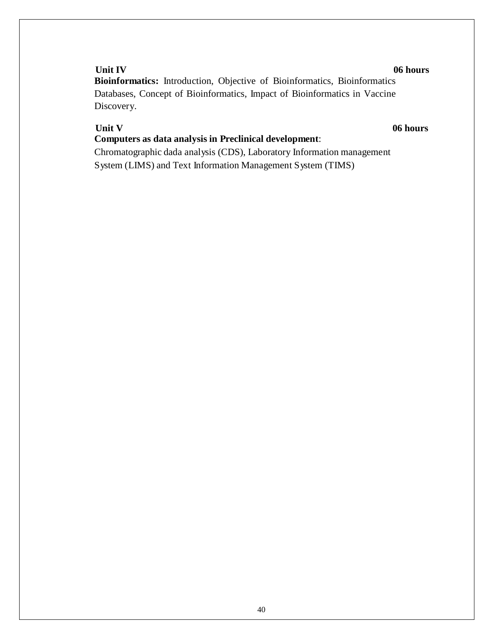### **Unit IV 06 hours**

**Bioinformatics:** Introduction, Objective of Bioinformatics, Bioinformatics Databases, Concept of Bioinformatics, Impact of Bioinformatics in Vaccine Discovery.

**Unit V** 06 **hours** 

# **Computers as data analysis in Preclinical development**:

Chromatographic dada analysis (CDS), Laboratory Information management System (LIMS) and Text Information Management System (TIMS)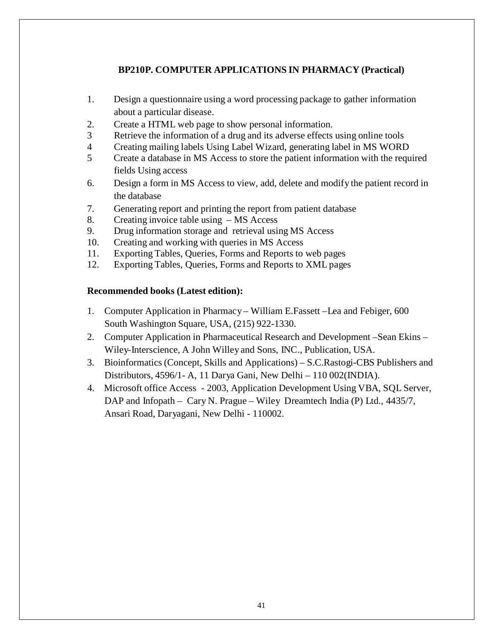# **BP210P. COMPUTER APPLICATIONS IN PHARMACY (Practical)**

- 1. Design a questionnaire using a word processing package to gather information about a particular disease.
- 2. Create a HTML web page to show personal information.
- 3 Retrieve the information of a drug and its adverse effects using online tools
- 4 Creating mailing labels Using Label Wizard, generating label in MS WORD
- 5 Create a database in MS Access to store the patient information with the required fields Using access
- 6. Design a form in MS Access to view, add, delete and modify the patient record in the database
- 7. Generating report and printing the report from patient database
- 8. Creating invoice table using MS Access
- 9. Drug information storage and retrieval using MS Access
- 10. Creating and working with queries in MS Access
- 11. Exporting Tables, Queries, Forms and Reports to web pages
- 12. Exporting Tables, Queries, Forms and Reports to XMLpages

### **Recommended books (Latest edition):**

- 1. Computer Application in Pharmacy William E.Fassett –Lea and Febiger, 600 South Washington Square, USA, (215) 922-1330.
- 2. Computer Application in Pharmaceutical Research and Development –Sean Ekins Wiley-Interscience, A John Willey and Sons, INC., Publication, USA.
- 3. Bioinformatics (Concept, Skills and Applications) S.C.Rastogi-CBS Publishers and Distributors, 4596/1- A, 11 Darya Gani, New Delhi – 110 002(INDIA).
- 4. Microsoft office Access 2003, Application Development Using VBA, SQL Server, DAP and Infopath – Cary N. Prague – Wiley Dreamtech India (P) Ltd., 4435/7, Ansari Road, Daryagani, New Delhi - 110002.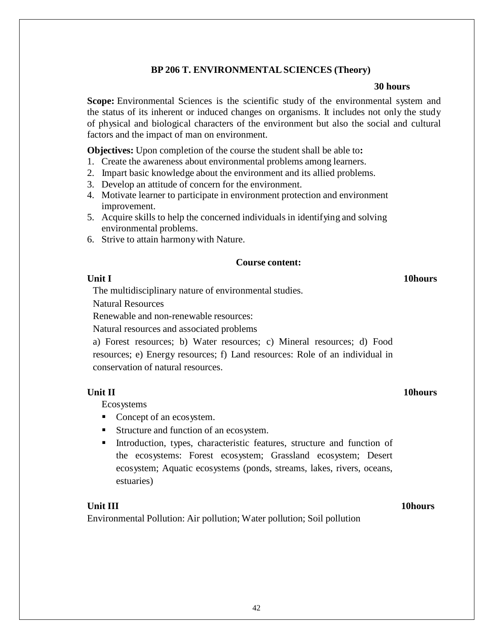#### **BP 206 T. ENVIRONMENTALSCIENCES (Theory)**

#### **30 hours**

**Scope:** Environmental Sciences is the scientific study of the environmental system and the status of its inherent or induced changes on organisms. It includes not only the study of physical and biological characters of the environment but also the social and cultural factors and the impact of man on environment.

**Objectives:** Upon completion of the course the student shall be able to**:**

- 1. Create the awareness about environmental problems among learners.
- 2. Impart basic knowledge about the environment and its allied problems.
- 3. Develop an attitude of concern for the environment.
- 4. Motivate learner to participate in environment protection and environment improvement.
- 5. Acquire skills to help the concerned individuals in identifying and solving environmental problems.
- 6. Strive to attain harmonywith Nature.

#### **Course content:**

#### **Unit I** 10hours

The multidisciplinary nature of environmental studies.

Natural Resources

Renewable and non-renewable resources:

Natural resources and associated problems

a) Forest resources; b) Water resources; c) Mineral resources; d) Food resources; e) Energy resources; f) Land resources: Role of an individual in conservation of natural resources.

#### **Unit II** 10hours

Ecosystems

- Concept of an ecosystem.
- Structure and function of an ecosystem.
- Introduction, types, characteristic features, structure and function of the ecosystems: Forest ecosystem; Grassland ecosystem; Desert ecosystem; Aquatic ecosystems (ponds, streams, lakes, rivers, oceans, estuaries)

#### **Unit III** 10hours

Environmental Pollution: Air pollution; Water pollution; Soil pollution